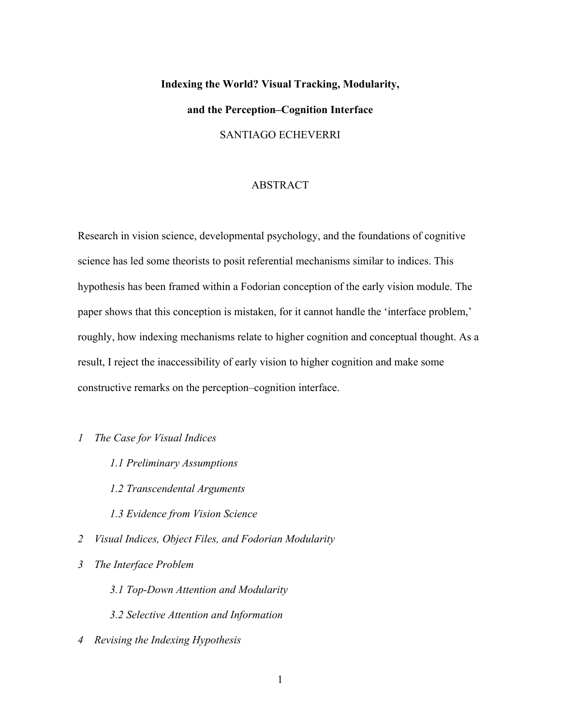# **Indexing the World? Visual Tracking, Modularity, and the Perception–Cognition Interface** SANTIAGO ECHEVERRI

## ABSTRACT

Research in vision science, developmental psychology, and the foundations of cognitive science has led some theorists to posit referential mechanisms similar to indices. This hypothesis has been framed within a Fodorian conception of the early vision module. The paper shows that this conception is mistaken, for it cannot handle the 'interface problem,' roughly, how indexing mechanisms relate to higher cognition and conceptual thought. As a result, I reject the inaccessibility of early vision to higher cognition and make some constructive remarks on the perception–cognition interface.

- *1 The Case for Visual Indices*
	- *1.1 Preliminary Assumptions*
	- *1.2 Transcendental Arguments*
	- *1.3 Evidence from Vision Science*
- *2 Visual Indices, Object Files, and Fodorian Modularity*
- *3 The Interface Problem*
	- *3.1 Top-Down Attention and Modularity*
	- *3.2 Selective Attention and Information*
- *4 Revising the Indexing Hypothesis*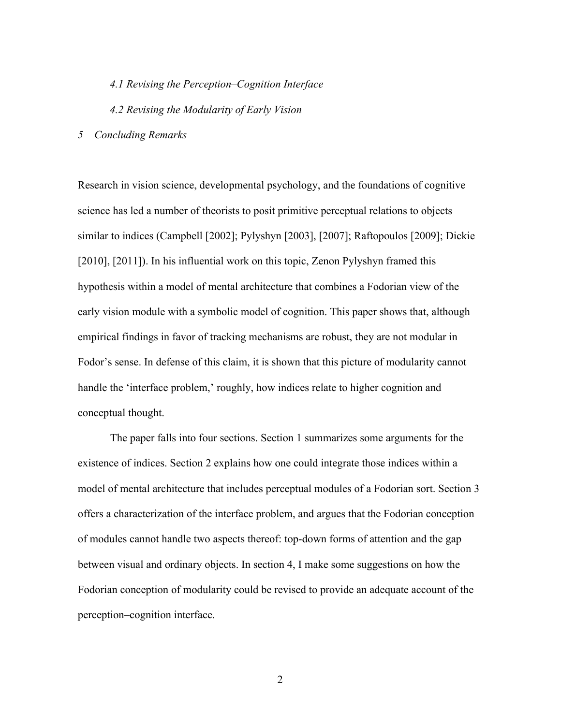*4.1 Revising the Perception*–*Cognition Interface*

*4.2 Revising the Modularity of Early Vision*

#### *5 Concluding Remarks*

Research in vision science, developmental psychology, and the foundations of cognitive science has led a number of theorists to posit primitive perceptual relations to objects similar to indices (Campbell [2002]; Pylyshyn [2003], [2007]; Raftopoulos [2009]; Dickie [2010], [2011]). In his influential work on this topic, Zenon Pylyshyn framed this hypothesis within a model of mental architecture that combines a Fodorian view of the early vision module with a symbolic model of cognition. This paper shows that, although empirical findings in favor of tracking mechanisms are robust, they are not modular in Fodor's sense. In defense of this claim, it is shown that this picture of modularity cannot handle the 'interface problem,' roughly, how indices relate to higher cognition and conceptual thought.

The paper falls into four sections. Section 1 summarizes some arguments for the existence of indices. Section 2 explains how one could integrate those indices within a model of mental architecture that includes perceptual modules of a Fodorian sort. Section 3 offers a characterization of the interface problem, and argues that the Fodorian conception of modules cannot handle two aspects thereof: top-down forms of attention and the gap between visual and ordinary objects. In section 4, I make some suggestions on how the Fodorian conception of modularity could be revised to provide an adequate account of the perception–cognition interface.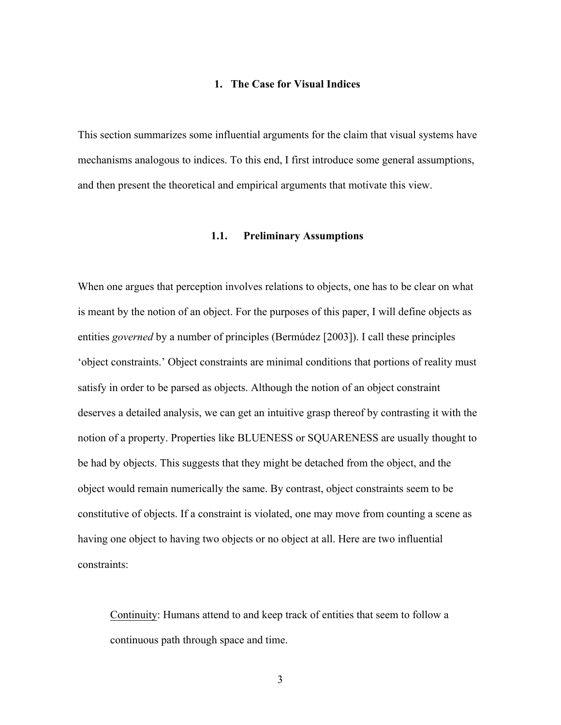#### **1. The Case for Visual Indices**

This section summarizes some influential arguments for the claim that visual systems have mechanisms analogous to indices. To this end, I first introduce some general assumptions, and then present the theoretical and empirical arguments that motivate this view.

#### **1.1. Preliminary Assumptions**

When one argues that perception involves relations to objects, one has to be clear on what is meant by the notion of an object. For the purposes of this paper, I will define objects as entities *governed* by a number of principles (Bermúdez [2003]). I call these principles 'object constraints.' Object constraints are minimal conditions that portions of reality must satisfy in order to be parsed as objects. Although the notion of an object constraint deserves a detailed analysis, we can get an intuitive grasp thereof by contrasting it with the notion of a property. Properties like BLUENESS or SQUARENESS are usually thought to be had by objects. This suggests that they might be detached from the object, and the object would remain numerically the same. By contrast, object constraints seem to be constitutive of objects. If a constraint is violated, one may move from counting a scene as having one object to having two objects or no object at all. Here are two influential constraints:

Continuity: Humans attend to and keep track of entities that seem to follow a continuous path through space and time.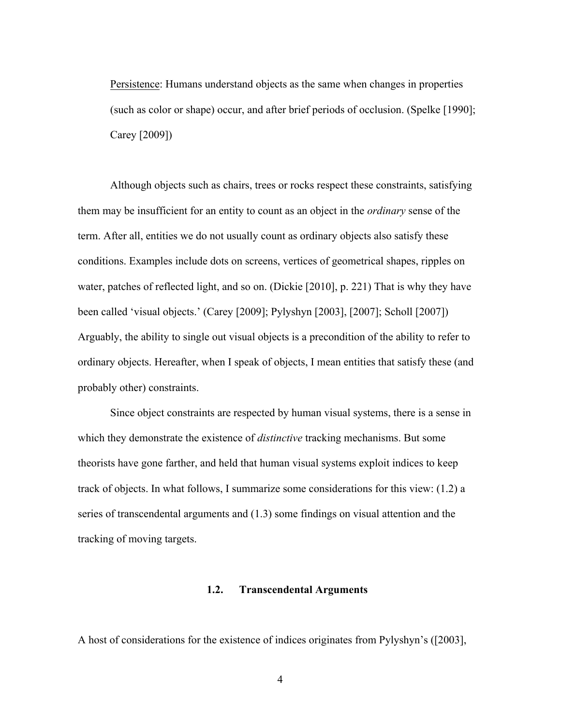Persistence: Humans understand objects as the same when changes in properties (such as color or shape) occur, and after brief periods of occlusion. (Spelke [1990]; Carey [2009])

Although objects such as chairs, trees or rocks respect these constraints, satisfying them may be insufficient for an entity to count as an object in the *ordinary* sense of the term. After all, entities we do not usually count as ordinary objects also satisfy these conditions. Examples include dots on screens, vertices of geometrical shapes, ripples on water, patches of reflected light, and so on. (Dickie [2010], p. 221) That is why they have been called 'visual objects.' (Carey [2009]; Pylyshyn [2003], [2007]; Scholl [2007]) Arguably, the ability to single out visual objects is a precondition of the ability to refer to ordinary objects. Hereafter, when I speak of objects, I mean entities that satisfy these (and probably other) constraints.

Since object constraints are respected by human visual systems, there is a sense in which they demonstrate the existence of *distinctive* tracking mechanisms. But some theorists have gone farther, and held that human visual systems exploit indices to keep track of objects. In what follows, I summarize some considerations for this view: (1.2) a series of transcendental arguments and (1.3) some findings on visual attention and the tracking of moving targets.

## **1.2. Transcendental Arguments**

A host of considerations for the existence of indices originates from Pylyshyn's ([2003],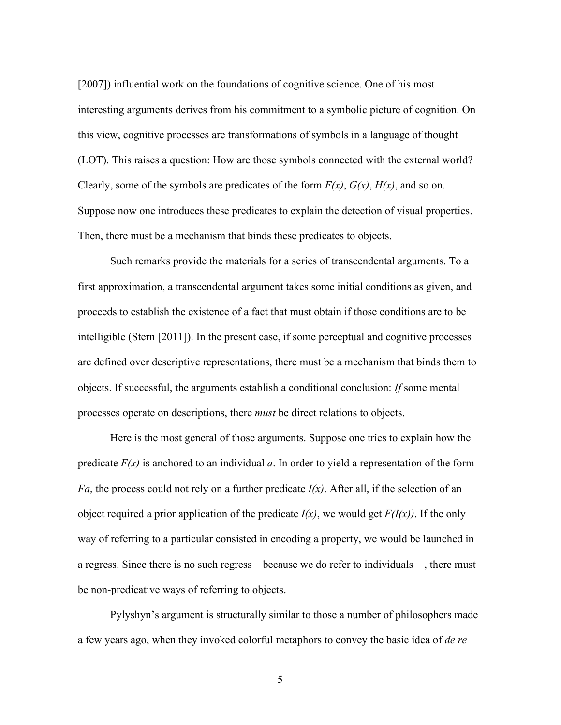[2007]) influential work on the foundations of cognitive science. One of his most interesting arguments derives from his commitment to a symbolic picture of cognition. On this view, cognitive processes are transformations of symbols in a language of thought (LOT). This raises a question: How are those symbols connected with the external world? Clearly, some of the symbols are predicates of the form  $F(x)$ ,  $G(x)$ ,  $H(x)$ , and so on. Suppose now one introduces these predicates to explain the detection of visual properties. Then, there must be a mechanism that binds these predicates to objects.

Such remarks provide the materials for a series of transcendental arguments. To a first approximation, a transcendental argument takes some initial conditions as given, and proceeds to establish the existence of a fact that must obtain if those conditions are to be intelligible (Stern [2011]). In the present case, if some perceptual and cognitive processes are defined over descriptive representations, there must be a mechanism that binds them to objects. If successful, the arguments establish a conditional conclusion: *If* some mental processes operate on descriptions, there *must* be direct relations to objects.

Here is the most general of those arguments. Suppose one tries to explain how the predicate  $F(x)$  is anchored to an individual  $a$ . In order to yield a representation of the form *Fa*, the process could not rely on a further predicate *I(x)*. After all, if the selection of an object required a prior application of the predicate  $I(x)$ , we would get  $F(I(x))$ . If the only way of referring to a particular consisted in encoding a property, we would be launched in a regress. Since there is no such regress—because we do refer to individuals—, there must be non-predicative ways of referring to objects.

Pylyshyn's argument is structurally similar to those a number of philosophers made a few years ago, when they invoked colorful metaphors to convey the basic idea of *de re*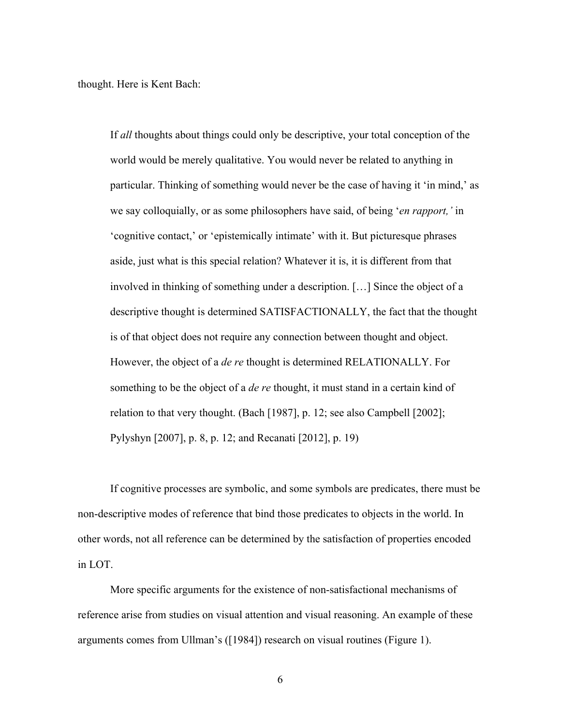thought. Here is Kent Bach:

If *all* thoughts about things could only be descriptive, your total conception of the world would be merely qualitative. You would never be related to anything in particular. Thinking of something would never be the case of having it 'in mind,' as we say colloquially, or as some philosophers have said, of being '*en rapport,'* in 'cognitive contact,' or 'epistemically intimate' with it. But picturesque phrases aside, just what is this special relation? Whatever it is, it is different from that involved in thinking of something under a description. […] Since the object of a descriptive thought is determined SATISFACTIONALLY, the fact that the thought is of that object does not require any connection between thought and object. However, the object of a *de re* thought is determined RELATIONALLY. For something to be the object of a *de re* thought, it must stand in a certain kind of relation to that very thought. (Bach [1987], p. 12; see also Campbell [2002]; Pylyshyn [2007], p. 8, p. 12; and Recanati [2012], p. 19)

If cognitive processes are symbolic, and some symbols are predicates, there must be non-descriptive modes of reference that bind those predicates to objects in the world. In other words, not all reference can be determined by the satisfaction of properties encoded in LOT.

More specific arguments for the existence of non-satisfactional mechanisms of reference arise from studies on visual attention and visual reasoning. An example of these arguments comes from Ullman's ([1984]) research on visual routines (Figure 1).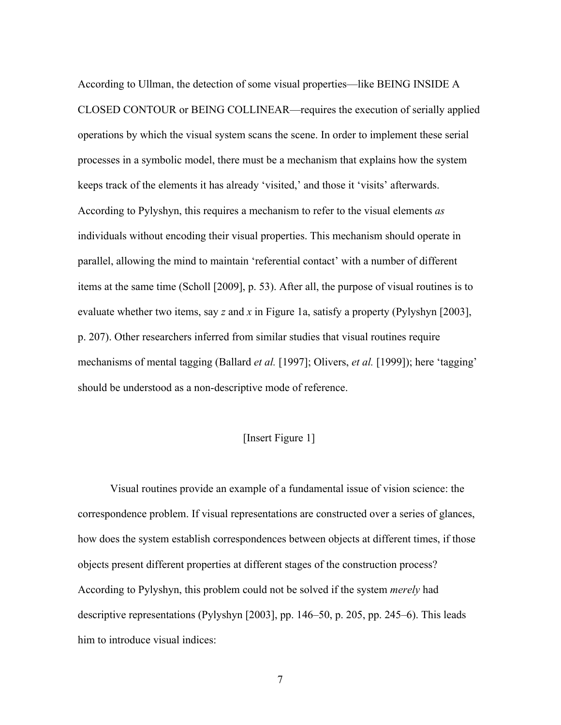According to Ullman, the detection of some visual properties—like BEING INSIDE A CLOSED CONTOUR or BEING COLLINEAR—requires the execution of serially applied operations by which the visual system scans the scene. In order to implement these serial processes in a symbolic model, there must be a mechanism that explains how the system keeps track of the elements it has already 'visited,' and those it 'visits' afterwards. According to Pylyshyn, this requires a mechanism to refer to the visual elements *as* individuals without encoding their visual properties. This mechanism should operate in parallel, allowing the mind to maintain 'referential contact' with a number of different items at the same time (Scholl [2009], p. 53). After all, the purpose of visual routines is to evaluate whether two items, say *z* and *x* in Figure 1a, satisfy a property (Pylyshyn [2003], p. 207). Other researchers inferred from similar studies that visual routines require mechanisms of mental tagging (Ballard *et al.* [1997]; Olivers, *et al.* [1999]); here 'tagging' should be understood as a non-descriptive mode of reference.

# [Insert Figure 1]

Visual routines provide an example of a fundamental issue of vision science: the correspondence problem. If visual representations are constructed over a series of glances, how does the system establish correspondences between objects at different times, if those objects present different properties at different stages of the construction process? According to Pylyshyn, this problem could not be solved if the system *merely* had descriptive representations (Pylyshyn [2003], pp. 146–50, p. 205, pp. 245–6). This leads him to introduce visual indices: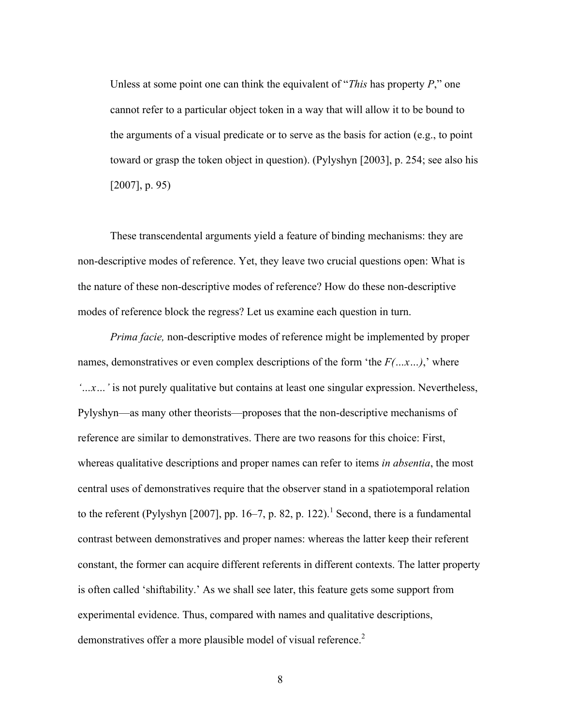Unless at some point one can think the equivalent of "*This* has property *P*," one cannot refer to a particular object token in a way that will allow it to be bound to the arguments of a visual predicate or to serve as the basis for action (e.g., to point toward or grasp the token object in question). (Pylyshyn [2003], p. 254; see also his [2007], p. 95)

These transcendental arguments yield a feature of binding mechanisms: they are non-descriptive modes of reference. Yet, they leave two crucial questions open: What is the nature of these non-descriptive modes of reference? How do these non-descriptive modes of reference block the regress? Let us examine each question in turn.

*Prima facie,* non-descriptive modes of reference might be implemented by proper names, demonstratives or even complex descriptions of the form 'the  $F(...x...)$ ,' where *'…x…'* is not purely qualitative but contains at least one singular expression. Nevertheless, Pylyshyn—as many other theorists—proposes that the non-descriptive mechanisms of reference are similar to demonstratives. There are two reasons for this choice: First, whereas qualitative descriptions and proper names can refer to items *in absentia*, the most central uses of demonstratives require that the observer stand in a spatiotemporal relation to the referent (Pylyshyn [2007], pp. 16–7, p. 82, p. 122).<sup>1</sup> Second, there is a fundamental contrast between demonstratives and proper names: whereas the latter keep their referent constant, the former can acquire different referents in different contexts. The latter property is often called 'shiftability.' As we shall see later, this feature gets some support from experimental evidence. Thus, compared with names and qualitative descriptions, demonstratives offer a more plausible model of visual reference.<sup>2</sup>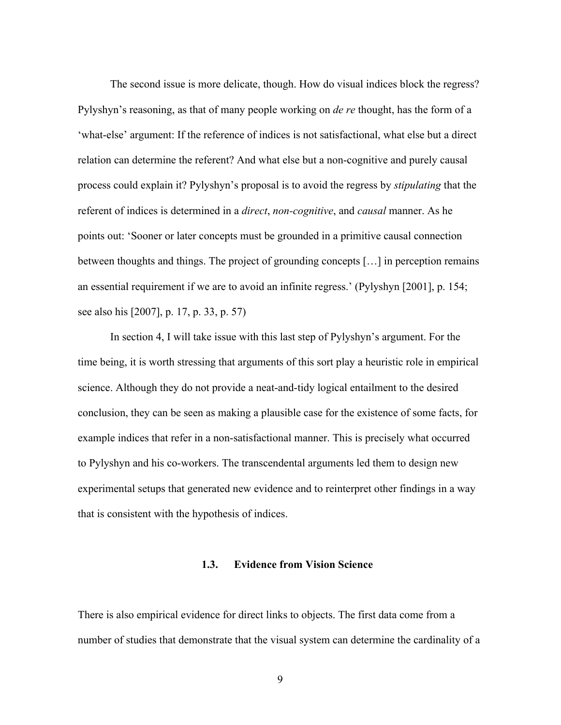The second issue is more delicate, though. How do visual indices block the regress? Pylyshyn's reasoning, as that of many people working on *de re* thought, has the form of a 'what-else' argument: If the reference of indices is not satisfactional, what else but a direct relation can determine the referent? And what else but a non-cognitive and purely causal process could explain it? Pylyshyn's proposal is to avoid the regress by *stipulating* that the referent of indices is determined in a *direct*, *non-cognitive*, and *causal* manner. As he points out: 'Sooner or later concepts must be grounded in a primitive causal connection between thoughts and things. The project of grounding concepts […] in perception remains an essential requirement if we are to avoid an infinite regress.' (Pylyshyn [2001], p. 154; see also his [2007], p. 17, p. 33, p. 57)

In section 4, I will take issue with this last step of Pylyshyn's argument. For the time being, it is worth stressing that arguments of this sort play a heuristic role in empirical science. Although they do not provide a neat-and-tidy logical entailment to the desired conclusion, they can be seen as making a plausible case for the existence of some facts, for example indices that refer in a non-satisfactional manner. This is precisely what occurred to Pylyshyn and his co-workers. The transcendental arguments led them to design new experimental setups that generated new evidence and to reinterpret other findings in a way that is consistent with the hypothesis of indices.

## **1.3. Evidence from Vision Science**

There is also empirical evidence for direct links to objects. The first data come from a number of studies that demonstrate that the visual system can determine the cardinality of a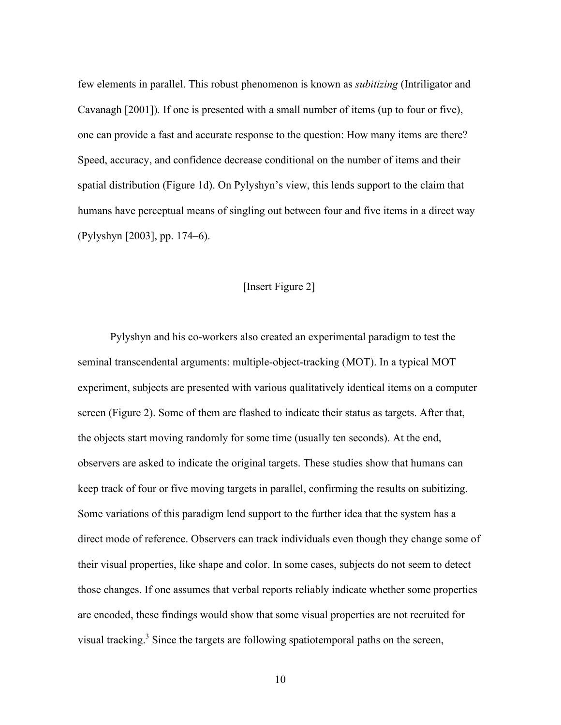few elements in parallel. This robust phenomenon is known as *subitizing* (Intriligator and Cavanagh [2001])*.* If one is presented with a small number of items (up to four or five), one can provide a fast and accurate response to the question: How many items are there? Speed, accuracy, and confidence decrease conditional on the number of items and their spatial distribution (Figure 1d). On Pylyshyn's view, this lends support to the claim that humans have perceptual means of singling out between four and five items in a direct way (Pylyshyn [2003], pp. 174–6).

## [Insert Figure 2]

Pylyshyn and his co-workers also created an experimental paradigm to test the seminal transcendental arguments: multiple-object-tracking (MOT). In a typical MOT experiment, subjects are presented with various qualitatively identical items on a computer screen (Figure 2). Some of them are flashed to indicate their status as targets. After that, the objects start moving randomly for some time (usually ten seconds). At the end, observers are asked to indicate the original targets. These studies show that humans can keep track of four or five moving targets in parallel, confirming the results on subitizing. Some variations of this paradigm lend support to the further idea that the system has a direct mode of reference. Observers can track individuals even though they change some of their visual properties, like shape and color. In some cases, subjects do not seem to detect those changes. If one assumes that verbal reports reliably indicate whether some properties are encoded, these findings would show that some visual properties are not recruited for visual tracking.<sup>3</sup> Since the targets are following spatiotemporal paths on the screen,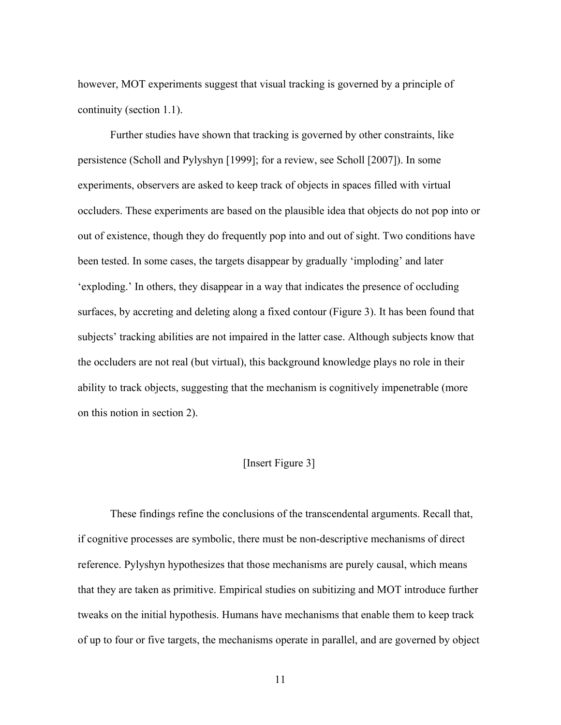however, MOT experiments suggest that visual tracking is governed by a principle of continuity (section 1.1).

Further studies have shown that tracking is governed by other constraints, like persistence (Scholl and Pylyshyn [1999]; for a review, see Scholl [2007]). In some experiments, observers are asked to keep track of objects in spaces filled with virtual occluders. These experiments are based on the plausible idea that objects do not pop into or out of existence, though they do frequently pop into and out of sight. Two conditions have been tested. In some cases, the targets disappear by gradually 'imploding' and later 'exploding.' In others, they disappear in a way that indicates the presence of occluding surfaces, by accreting and deleting along a fixed contour (Figure 3). It has been found that subjects' tracking abilities are not impaired in the latter case. Although subjects know that the occluders are not real (but virtual), this background knowledge plays no role in their ability to track objects, suggesting that the mechanism is cognitively impenetrable (more on this notion in section 2).

# [Insert Figure 3]

These findings refine the conclusions of the transcendental arguments. Recall that, if cognitive processes are symbolic, there must be non-descriptive mechanisms of direct reference. Pylyshyn hypothesizes that those mechanisms are purely causal, which means that they are taken as primitive. Empirical studies on subitizing and MOT introduce further tweaks on the initial hypothesis. Humans have mechanisms that enable them to keep track of up to four or five targets, the mechanisms operate in parallel, and are governed by object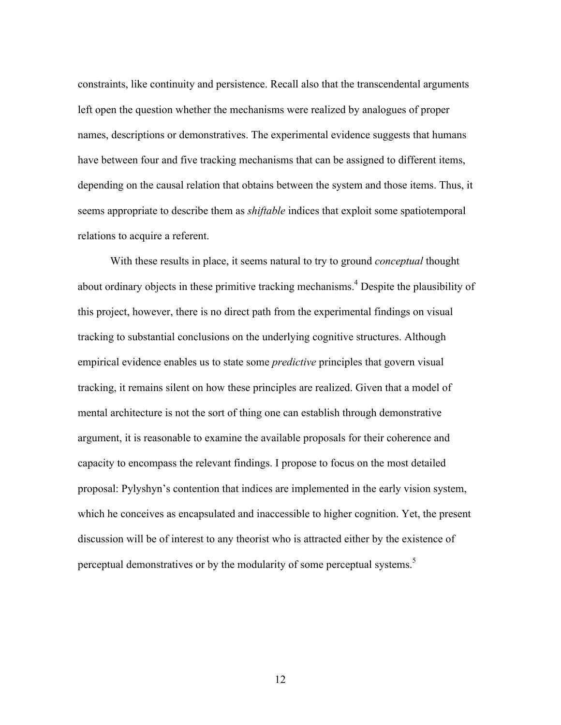constraints, like continuity and persistence. Recall also that the transcendental arguments left open the question whether the mechanisms were realized by analogues of proper names, descriptions or demonstratives. The experimental evidence suggests that humans have between four and five tracking mechanisms that can be assigned to different items, depending on the causal relation that obtains between the system and those items. Thus, it seems appropriate to describe them as *shiftable* indices that exploit some spatiotemporal relations to acquire a referent.

With these results in place, it seems natural to try to ground *conceptual* thought about ordinary objects in these primitive tracking mechanisms.<sup>4</sup> Despite the plausibility of this project, however, there is no direct path from the experimental findings on visual tracking to substantial conclusions on the underlying cognitive structures. Although empirical evidence enables us to state some *predictive* principles that govern visual tracking, it remains silent on how these principles are realized. Given that a model of mental architecture is not the sort of thing one can establish through demonstrative argument, it is reasonable to examine the available proposals for their coherence and capacity to encompass the relevant findings. I propose to focus on the most detailed proposal: Pylyshyn's contention that indices are implemented in the early vision system, which he conceives as encapsulated and inaccessible to higher cognition. Yet, the present discussion will be of interest to any theorist who is attracted either by the existence of perceptual demonstratives or by the modularity of some perceptual systems.<sup>5</sup>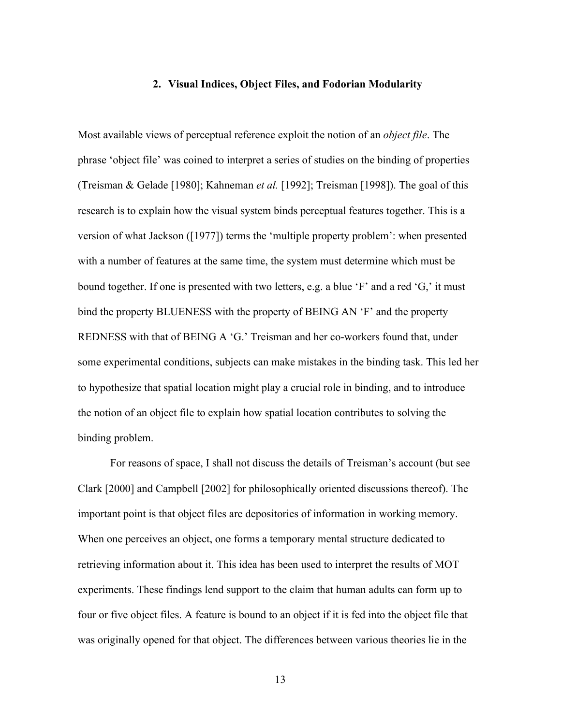#### **2. Visual Indices, Object Files, and Fodorian Modularity**

Most available views of perceptual reference exploit the notion of an *object file*. The phrase 'object file' was coined to interpret a series of studies on the binding of properties (Treisman & Gelade [1980]; Kahneman *et al.* [1992]; Treisman [1998]). The goal of this research is to explain how the visual system binds perceptual features together. This is a version of what Jackson ([1977]) terms the 'multiple property problem': when presented with a number of features at the same time, the system must determine which must be bound together. If one is presented with two letters, e.g. a blue 'F' and a red 'G,' it must bind the property BLUENESS with the property of BEING AN 'F' and the property REDNESS with that of BEING A 'G.' Treisman and her co-workers found that, under some experimental conditions, subjects can make mistakes in the binding task. This led her to hypothesize that spatial location might play a crucial role in binding, and to introduce the notion of an object file to explain how spatial location contributes to solving the binding problem.

For reasons of space, I shall not discuss the details of Treisman's account (but see Clark [2000] and Campbell [2002] for philosophically oriented discussions thereof). The important point is that object files are depositories of information in working memory. When one perceives an object, one forms a temporary mental structure dedicated to retrieving information about it. This idea has been used to interpret the results of MOT experiments. These findings lend support to the claim that human adults can form up to four or five object files. A feature is bound to an object if it is fed into the object file that was originally opened for that object. The differences between various theories lie in the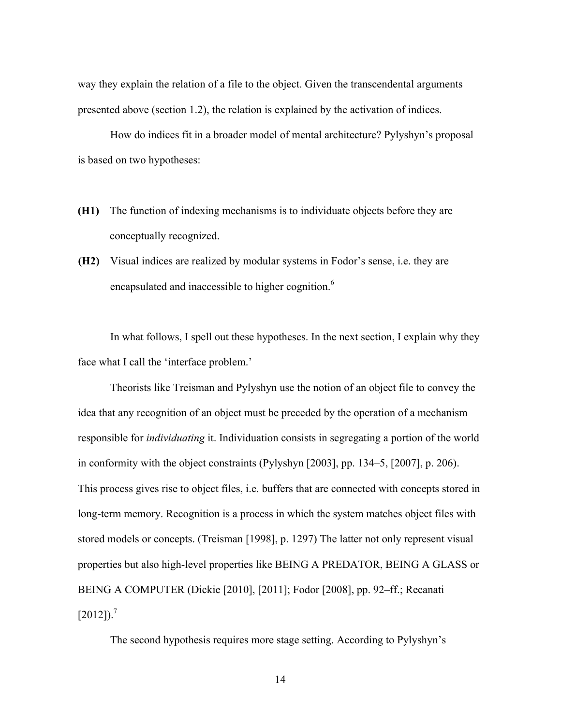way they explain the relation of a file to the object. Given the transcendental arguments presented above (section 1.2), the relation is explained by the activation of indices.

How do indices fit in a broader model of mental architecture? Pylyshyn's proposal is based on two hypotheses:

- **(H1)** The function of indexing mechanisms is to individuate objects before they are conceptually recognized.
- **(H2)** Visual indices are realized by modular systems in Fodor's sense, i.e. they are encapsulated and inaccessible to higher cognition.<sup>6</sup>

In what follows, I spell out these hypotheses. In the next section, I explain why they face what I call the 'interface problem.'

Theorists like Treisman and Pylyshyn use the notion of an object file to convey the idea that any recognition of an object must be preceded by the operation of a mechanism responsible for *individuating* it. Individuation consists in segregating a portion of the world in conformity with the object constraints (Pylyshyn [2003], pp. 134–5, [2007], p. 206). This process gives rise to object files, i.e. buffers that are connected with concepts stored in long-term memory. Recognition is a process in which the system matches object files with stored models or concepts. (Treisman [1998], p. 1297) The latter not only represent visual properties but also high-level properties like BEING A PREDATOR, BEING A GLASS or BEING A COMPUTER (Dickie [2010], [2011]; Fodor [2008], pp. 92–ff.; Recanati  $[2012]$ ).<sup>7</sup>

The second hypothesis requires more stage setting. According to Pylyshyn's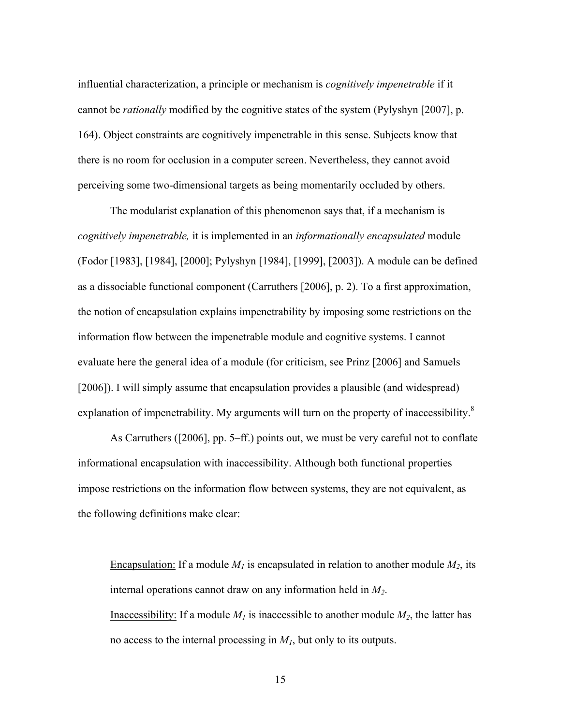influential characterization, a principle or mechanism is *cognitively impenetrable* if it cannot be *rationally* modified by the cognitive states of the system (Pylyshyn [2007], p. 164). Object constraints are cognitively impenetrable in this sense. Subjects know that there is no room for occlusion in a computer screen. Nevertheless, they cannot avoid perceiving some two-dimensional targets as being momentarily occluded by others.

The modularist explanation of this phenomenon says that, if a mechanism is *cognitively impenetrable,* it is implemented in an *informationally encapsulated* module (Fodor [1983], [1984], [2000]; Pylyshyn [1984], [1999], [2003]). A module can be defined as a dissociable functional component (Carruthers [2006], p. 2). To a first approximation, the notion of encapsulation explains impenetrability by imposing some restrictions on the information flow between the impenetrable module and cognitive systems. I cannot evaluate here the general idea of a module (for criticism, see Prinz [2006] and Samuels [2006]). I will simply assume that encapsulation provides a plausible (and widespread) explanation of impenetrability. My arguments will turn on the property of inaccessibility.<sup>8</sup>

As Carruthers ([2006], pp. 5–ff.) points out, we must be very careful not to conflate informational encapsulation with inaccessibility. Although both functional properties impose restrictions on the information flow between systems, they are not equivalent, as the following definitions make clear:

Encapsulation: If a module  $M_l$  is encapsulated in relation to another module  $M_2$ , its internal operations cannot draw on any information held in *M2*. Inaccessibility: If a module  $M_1$  is inaccessible to another module  $M_2$ , the latter has no access to the internal processing in *M1*, but only to its outputs.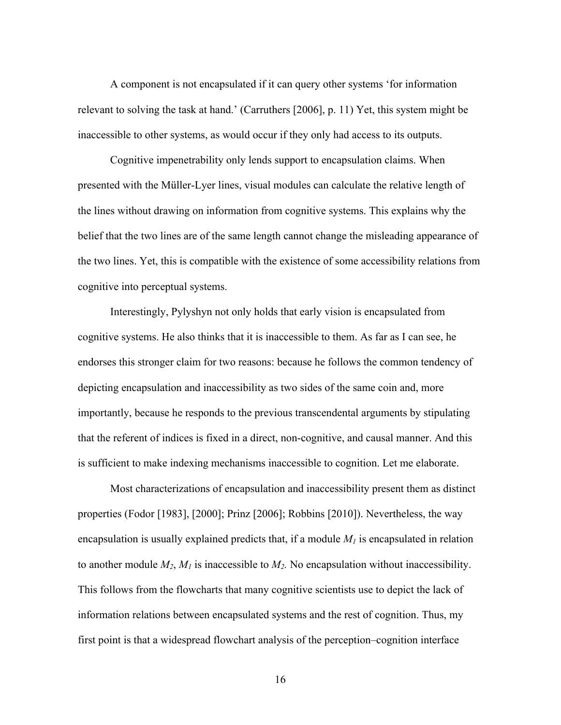A component is not encapsulated if it can query other systems 'for information relevant to solving the task at hand.' (Carruthers [2006], p. 11) Yet, this system might be inaccessible to other systems, as would occur if they only had access to its outputs.

Cognitive impenetrability only lends support to encapsulation claims. When presented with the Müller-Lyer lines, visual modules can calculate the relative length of the lines without drawing on information from cognitive systems. This explains why the belief that the two lines are of the same length cannot change the misleading appearance of the two lines. Yet, this is compatible with the existence of some accessibility relations from cognitive into perceptual systems.

Interestingly, Pylyshyn not only holds that early vision is encapsulated from cognitive systems. He also thinks that it is inaccessible to them. As far as I can see, he endorses this stronger claim for two reasons: because he follows the common tendency of depicting encapsulation and inaccessibility as two sides of the same coin and, more importantly, because he responds to the previous transcendental arguments by stipulating that the referent of indices is fixed in a direct, non-cognitive, and causal manner. And this is sufficient to make indexing mechanisms inaccessible to cognition. Let me elaborate.

Most characterizations of encapsulation and inaccessibility present them as distinct properties (Fodor [1983], [2000]; Prinz [2006]; Robbins [2010]). Nevertheless, the way encapsulation is usually explained predicts that, if a module  $M_l$  is encapsulated in relation to another module  $M_2$ ,  $M_1$  is inaccessible to  $M_2$ . No encapsulation without inaccessibility. This follows from the flowcharts that many cognitive scientists use to depict the lack of information relations between encapsulated systems and the rest of cognition. Thus, my first point is that a widespread flowchart analysis of the perception–cognition interface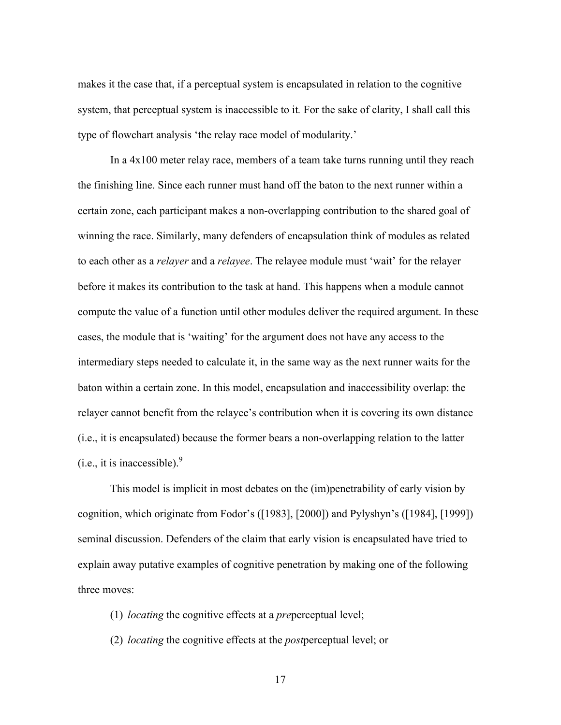makes it the case that, if a perceptual system is encapsulated in relation to the cognitive system, that perceptual system is inaccessible to it*.* For the sake of clarity, I shall call this type of flowchart analysis 'the relay race model of modularity.'

In a 4x100 meter relay race, members of a team take turns running until they reach the finishing line. Since each runner must hand off the baton to the next runner within a certain zone, each participant makes a non-overlapping contribution to the shared goal of winning the race. Similarly, many defenders of encapsulation think of modules as related to each other as a *relayer* and a *relayee*. The relayee module must 'wait' for the relayer before it makes its contribution to the task at hand. This happens when a module cannot compute the value of a function until other modules deliver the required argument. In these cases, the module that is 'waiting' for the argument does not have any access to the intermediary steps needed to calculate it, in the same way as the next runner waits for the baton within a certain zone. In this model, encapsulation and inaccessibility overlap: the relayer cannot benefit from the relayee's contribution when it is covering its own distance (i.e., it is encapsulated) because the former bears a non-overlapping relation to the latter  $(i.e., it is inaccessible).<sup>9</sup>$ 

This model is implicit in most debates on the (im)penetrability of early vision by cognition, which originate from Fodor's ([1983], [2000]) and Pylyshyn's ([1984], [1999]) seminal discussion. Defenders of the claim that early vision is encapsulated have tried to explain away putative examples of cognitive penetration by making one of the following three moves:

(1) *locating* the cognitive effects at a *pre*perceptual level;

(2) *locating* the cognitive effects at the *post*perceptual level; or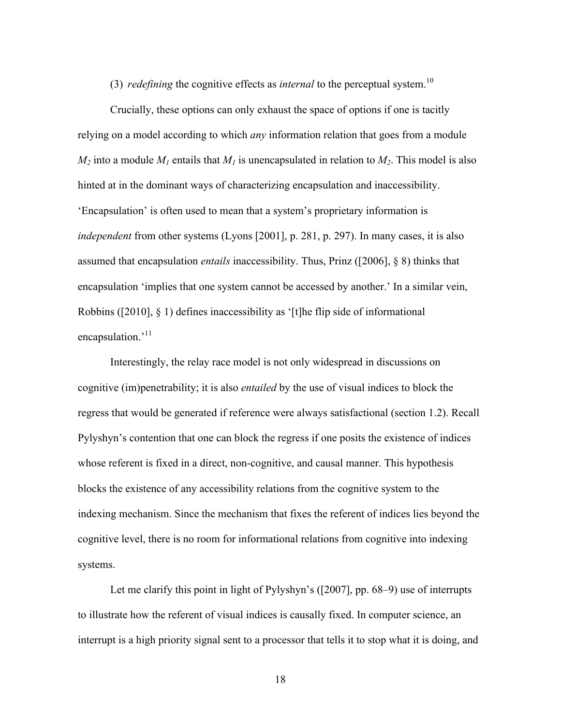(3) *redefining* the cognitive effects as *internal* to the perceptual system.<sup>10</sup>

Crucially, these options can only exhaust the space of options if one is tacitly relying on a model according to which *any* information relation that goes from a module  $M_2$  into a module  $M_1$  entails that  $M_1$  is unencapsulated in relation to  $M_2$ . This model is also hinted at in the dominant ways of characterizing encapsulation and inaccessibility. 'Encapsulation' is often used to mean that a system's proprietary information is *independent* from other systems (Lyons [2001], p. 281, p. 297). In many cases, it is also assumed that encapsulation *entails* inaccessibility. Thus, Prinz ([2006], § 8) thinks that encapsulation 'implies that one system cannot be accessed by another.' In a similar vein, Robbins ([2010], § 1) defines inaccessibility as '[t]he flip side of informational encapsulation.'<sup>11</sup>

Interestingly, the relay race model is not only widespread in discussions on cognitive (im)penetrability; it is also *entailed* by the use of visual indices to block the regress that would be generated if reference were always satisfactional (section 1.2). Recall Pylyshyn's contention that one can block the regress if one posits the existence of indices whose referent is fixed in a direct, non-cognitive, and causal manner. This hypothesis blocks the existence of any accessibility relations from the cognitive system to the indexing mechanism. Since the mechanism that fixes the referent of indices lies beyond the cognitive level, there is no room for informational relations from cognitive into indexing systems.

Let me clarify this point in light of Pylyshyn's ([2007], pp. 68–9) use of interrupts to illustrate how the referent of visual indices is causally fixed. In computer science, an interrupt is a high priority signal sent to a processor that tells it to stop what it is doing, and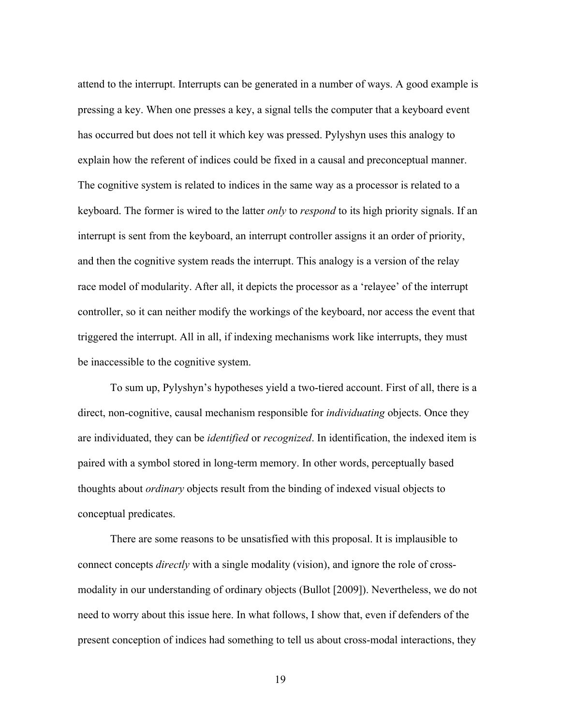attend to the interrupt. Interrupts can be generated in a number of ways. A good example is pressing a key. When one presses a key, a signal tells the computer that a keyboard event has occurred but does not tell it which key was pressed. Pylyshyn uses this analogy to explain how the referent of indices could be fixed in a causal and preconceptual manner. The cognitive system is related to indices in the same way as a processor is related to a keyboard. The former is wired to the latter *only* to *respond* to its high priority signals. If an interrupt is sent from the keyboard, an interrupt controller assigns it an order of priority, and then the cognitive system reads the interrupt. This analogy is a version of the relay race model of modularity. After all, it depicts the processor as a 'relayee' of the interrupt controller, so it can neither modify the workings of the keyboard, nor access the event that triggered the interrupt. All in all, if indexing mechanisms work like interrupts, they must be inaccessible to the cognitive system.

To sum up, Pylyshyn's hypotheses yield a two-tiered account. First of all, there is a direct, non-cognitive, causal mechanism responsible for *individuating* objects. Once they are individuated, they can be *identified* or *recognized*. In identification, the indexed item is paired with a symbol stored in long-term memory. In other words, perceptually based thoughts about *ordinary* objects result from the binding of indexed visual objects to conceptual predicates.

There are some reasons to be unsatisfied with this proposal. It is implausible to connect concepts *directly* with a single modality (vision), and ignore the role of crossmodality in our understanding of ordinary objects (Bullot [2009]). Nevertheless, we do not need to worry about this issue here. In what follows, I show that, even if defenders of the present conception of indices had something to tell us about cross-modal interactions, they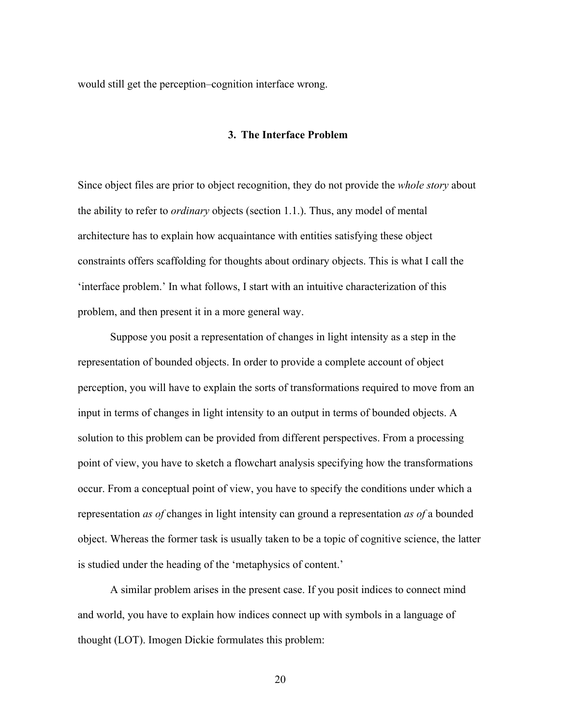would still get the perception–cognition interface wrong.

#### **3. The Interface Problem**

Since object files are prior to object recognition, they do not provide the *whole story* about the ability to refer to *ordinary* objects (section 1.1.). Thus, any model of mental architecture has to explain how acquaintance with entities satisfying these object constraints offers scaffolding for thoughts about ordinary objects. This is what I call the 'interface problem.' In what follows, I start with an intuitive characterization of this problem, and then present it in a more general way.

Suppose you posit a representation of changes in light intensity as a step in the representation of bounded objects. In order to provide a complete account of object perception, you will have to explain the sorts of transformations required to move from an input in terms of changes in light intensity to an output in terms of bounded objects. A solution to this problem can be provided from different perspectives. From a processing point of view, you have to sketch a flowchart analysis specifying how the transformations occur. From a conceptual point of view, you have to specify the conditions under which a representation *as of* changes in light intensity can ground a representation *as of* a bounded object. Whereas the former task is usually taken to be a topic of cognitive science, the latter is studied under the heading of the 'metaphysics of content.'

A similar problem arises in the present case. If you posit indices to connect mind and world, you have to explain how indices connect up with symbols in a language of thought (LOT). Imogen Dickie formulates this problem: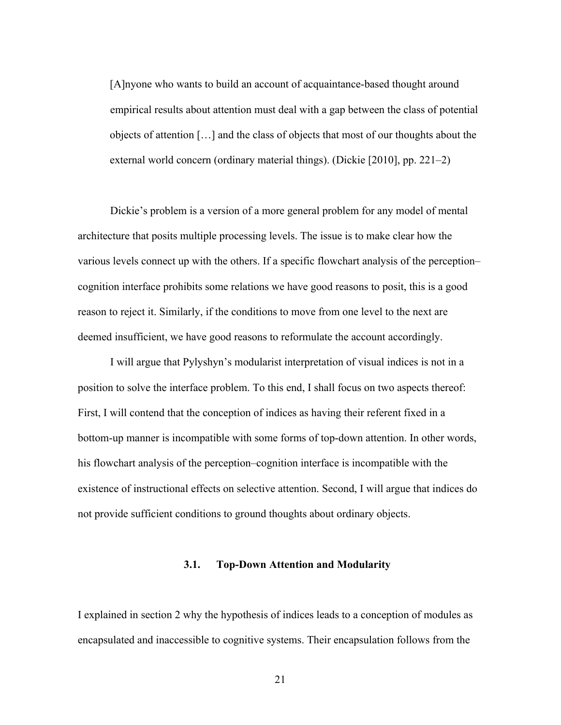[A]nyone who wants to build an account of acquaintance-based thought around empirical results about attention must deal with a gap between the class of potential objects of attention […] and the class of objects that most of our thoughts about the external world concern (ordinary material things). (Dickie [2010], pp. 221–2)

Dickie's problem is a version of a more general problem for any model of mental architecture that posits multiple processing levels. The issue is to make clear how the various levels connect up with the others. If a specific flowchart analysis of the perception– cognition interface prohibits some relations we have good reasons to posit, this is a good reason to reject it. Similarly, if the conditions to move from one level to the next are deemed insufficient, we have good reasons to reformulate the account accordingly.

I will argue that Pylyshyn's modularist interpretation of visual indices is not in a position to solve the interface problem. To this end, I shall focus on two aspects thereof: First, I will contend that the conception of indices as having their referent fixed in a bottom-up manner is incompatible with some forms of top-down attention. In other words, his flowchart analysis of the perception–cognition interface is incompatible with the existence of instructional effects on selective attention. Second, I will argue that indices do not provide sufficient conditions to ground thoughts about ordinary objects.

#### **3.1. Top-Down Attention and Modularity**

I explained in section 2 why the hypothesis of indices leads to a conception of modules as encapsulated and inaccessible to cognitive systems. Their encapsulation follows from the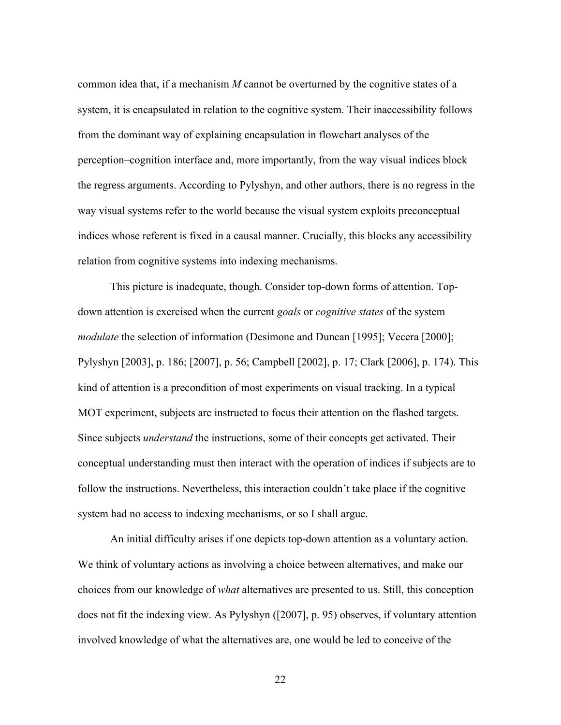common idea that, if a mechanism *M* cannot be overturned by the cognitive states of a system, it is encapsulated in relation to the cognitive system. Their inaccessibility follows from the dominant way of explaining encapsulation in flowchart analyses of the perception–cognition interface and, more importantly, from the way visual indices block the regress arguments. According to Pylyshyn, and other authors, there is no regress in the way visual systems refer to the world because the visual system exploits preconceptual indices whose referent is fixed in a causal manner. Crucially, this blocks any accessibility relation from cognitive systems into indexing mechanisms.

This picture is inadequate, though. Consider top-down forms of attention. Topdown attention is exercised when the current *goals* or *cognitive states* of the system *modulate* the selection of information (Desimone and Duncan [1995]; Vecera [2000]; Pylyshyn [2003], p. 186; [2007], p. 56; Campbell [2002], p. 17; Clark [2006], p. 174). This kind of attention is a precondition of most experiments on visual tracking. In a typical MOT experiment, subjects are instructed to focus their attention on the flashed targets. Since subjects *understand* the instructions, some of their concepts get activated. Their conceptual understanding must then interact with the operation of indices if subjects are to follow the instructions. Nevertheless, this interaction couldn't take place if the cognitive system had no access to indexing mechanisms, or so I shall argue.

An initial difficulty arises if one depicts top-down attention as a voluntary action. We think of voluntary actions as involving a choice between alternatives, and make our choices from our knowledge of *what* alternatives are presented to us. Still, this conception does not fit the indexing view. As Pylyshyn ([2007], p. 95) observes, if voluntary attention involved knowledge of what the alternatives are, one would be led to conceive of the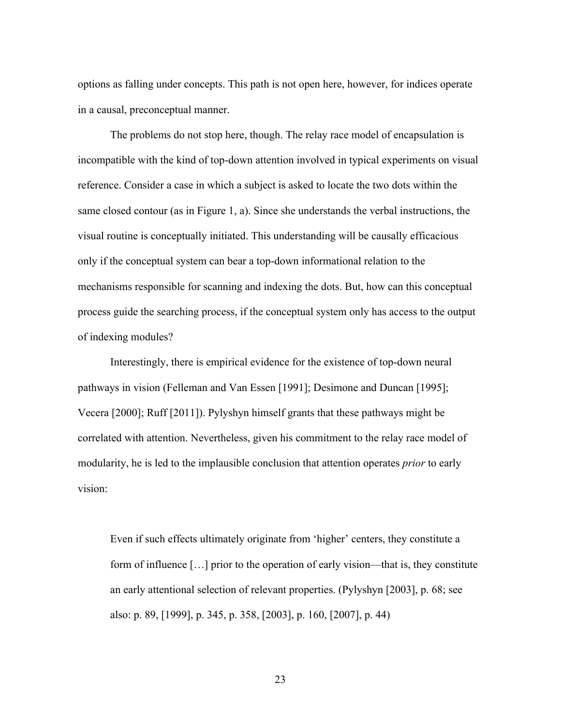options as falling under concepts. This path is not open here, however, for indices operate in a causal, preconceptual manner.

The problems do not stop here, though. The relay race model of encapsulation is incompatible with the kind of top-down attention involved in typical experiments on visual reference. Consider a case in which a subject is asked to locate the two dots within the same closed contour (as in Figure 1, a). Since she understands the verbal instructions, the visual routine is conceptually initiated. This understanding will be causally efficacious only if the conceptual system can bear a top-down informational relation to the mechanisms responsible for scanning and indexing the dots. But, how can this conceptual process guide the searching process, if the conceptual system only has access to the output of indexing modules?

Interestingly, there is empirical evidence for the existence of top-down neural pathways in vision (Felleman and Van Essen [1991]; Desimone and Duncan [1995]; Vecera [2000]; Ruff [2011]). Pylyshyn himself grants that these pathways might be correlated with attention. Nevertheless, given his commitment to the relay race model of modularity, he is led to the implausible conclusion that attention operates *prior* to early vision:

Even if such effects ultimately originate from 'higher' centers, they constitute a form of influence […] prior to the operation of early vision—that is, they constitute an early attentional selection of relevant properties. (Pylyshyn [2003], p. 68; see also: p. 89, [1999], p. 345, p. 358, [2003], p. 160, [2007], p. 44)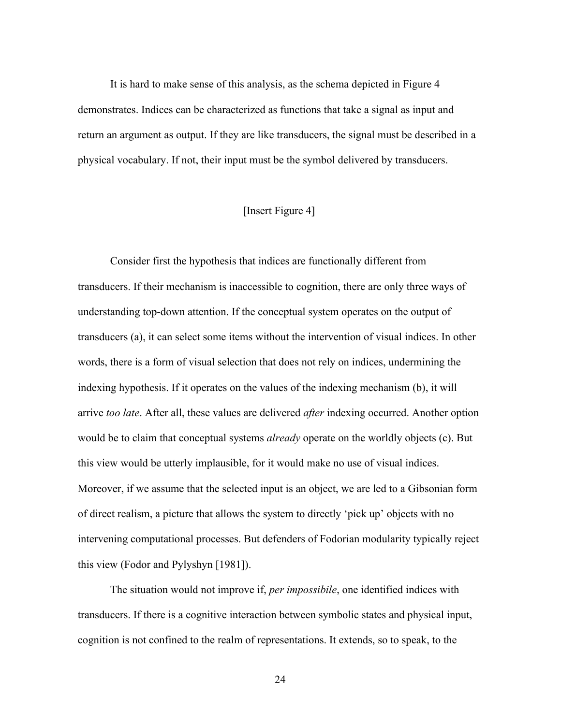It is hard to make sense of this analysis, as the schema depicted in Figure 4 demonstrates. Indices can be characterized as functions that take a signal as input and return an argument as output. If they are like transducers, the signal must be described in a physical vocabulary. If not, their input must be the symbol delivered by transducers.

## [Insert Figure 4]

Consider first the hypothesis that indices are functionally different from transducers. If their mechanism is inaccessible to cognition, there are only three ways of understanding top-down attention. If the conceptual system operates on the output of transducers (a), it can select some items without the intervention of visual indices. In other words, there is a form of visual selection that does not rely on indices, undermining the indexing hypothesis. If it operates on the values of the indexing mechanism (b), it will arrive *too late*. After all, these values are delivered *after* indexing occurred. Another option would be to claim that conceptual systems *already* operate on the worldly objects (c). But this view would be utterly implausible, for it would make no use of visual indices. Moreover, if we assume that the selected input is an object, we are led to a Gibsonian form of direct realism, a picture that allows the system to directly 'pick up' objects with no intervening computational processes. But defenders of Fodorian modularity typically reject this view (Fodor and Pylyshyn [1981]).

The situation would not improve if, *per impossibile*, one identified indices with transducers. If there is a cognitive interaction between symbolic states and physical input, cognition is not confined to the realm of representations. It extends, so to speak, to the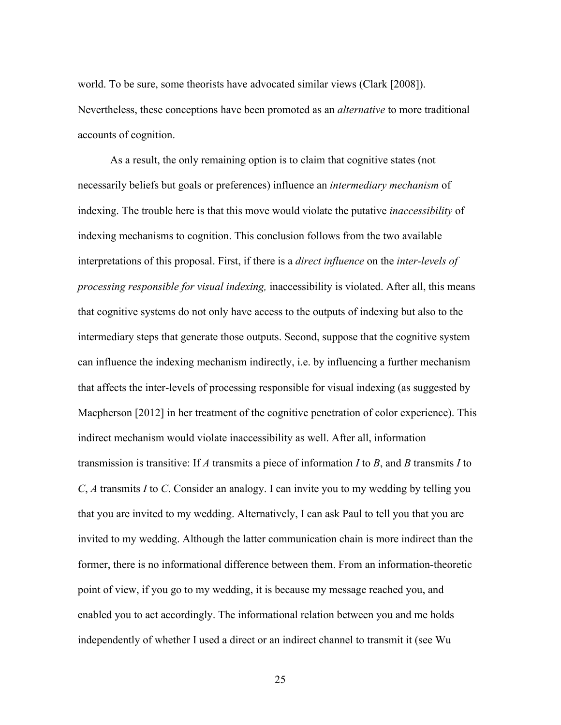world. To be sure, some theorists have advocated similar views (Clark [2008]). Nevertheless, these conceptions have been promoted as an *alternative* to more traditional accounts of cognition.

As a result, the only remaining option is to claim that cognitive states (not necessarily beliefs but goals or preferences) influence an *intermediary mechanism* of indexing. The trouble here is that this move would violate the putative *inaccessibility* of indexing mechanisms to cognition. This conclusion follows from the two available interpretations of this proposal. First, if there is a *direct influence* on the *inter-levels of processing responsible for visual indexing,* inaccessibility is violated. After all, this means that cognitive systems do not only have access to the outputs of indexing but also to the intermediary steps that generate those outputs. Second, suppose that the cognitive system can influence the indexing mechanism indirectly, i.e. by influencing a further mechanism that affects the inter-levels of processing responsible for visual indexing (as suggested by Macpherson [2012] in her treatment of the cognitive penetration of color experience). This indirect mechanism would violate inaccessibility as well. After all, information transmission is transitive: If *A* transmits a piece of information *I* to *B*, and *B* transmits *I* to *C*, *A* transmits *I* to *C*. Consider an analogy. I can invite you to my wedding by telling you that you are invited to my wedding. Alternatively, I can ask Paul to tell you that you are invited to my wedding. Although the latter communication chain is more indirect than the former, there is no informational difference between them. From an information-theoretic point of view, if you go to my wedding, it is because my message reached you, and enabled you to act accordingly. The informational relation between you and me holds independently of whether I used a direct or an indirect channel to transmit it (see Wu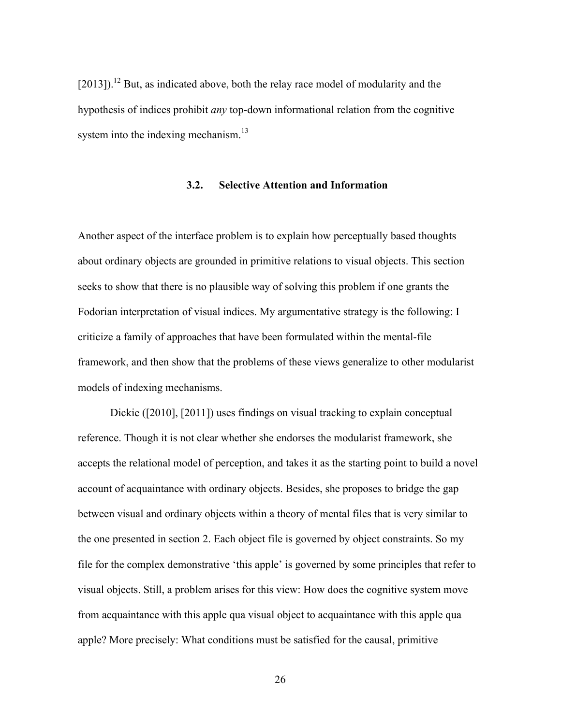$[2013]$ .<sup>12</sup> But, as indicated above, both the relay race model of modularity and the hypothesis of indices prohibit *any* top-down informational relation from the cognitive system into the indexing mechanism.<sup>13</sup>

#### **3.2. Selective Attention and Information**

Another aspect of the interface problem is to explain how perceptually based thoughts about ordinary objects are grounded in primitive relations to visual objects. This section seeks to show that there is no plausible way of solving this problem if one grants the Fodorian interpretation of visual indices. My argumentative strategy is the following: I criticize a family of approaches that have been formulated within the mental-file framework, and then show that the problems of these views generalize to other modularist models of indexing mechanisms.

Dickie ([2010], [2011]) uses findings on visual tracking to explain conceptual reference. Though it is not clear whether she endorses the modularist framework, she accepts the relational model of perception, and takes it as the starting point to build a novel account of acquaintance with ordinary objects. Besides, she proposes to bridge the gap between visual and ordinary objects within a theory of mental files that is very similar to the one presented in section 2. Each object file is governed by object constraints. So my file for the complex demonstrative 'this apple' is governed by some principles that refer to visual objects. Still, a problem arises for this view: How does the cognitive system move from acquaintance with this apple qua visual object to acquaintance with this apple qua apple? More precisely: What conditions must be satisfied for the causal, primitive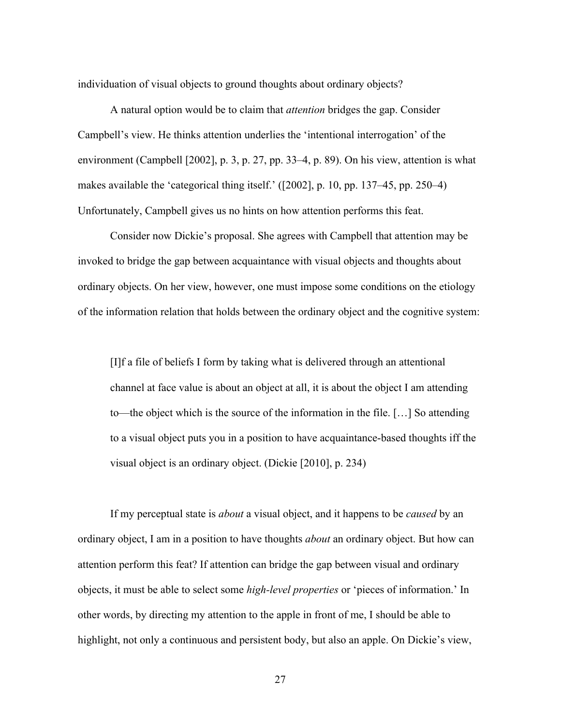individuation of visual objects to ground thoughts about ordinary objects?

A natural option would be to claim that *attention* bridges the gap. Consider Campbell's view. He thinks attention underlies the 'intentional interrogation' of the environment (Campbell [2002], p. 3, p. 27, pp. 33–4, p. 89). On his view, attention is what makes available the 'categorical thing itself.' ([2002], p. 10, pp. 137–45, pp. 250–4) Unfortunately, Campbell gives us no hints on how attention performs this feat.

Consider now Dickie's proposal. She agrees with Campbell that attention may be invoked to bridge the gap between acquaintance with visual objects and thoughts about ordinary objects. On her view, however, one must impose some conditions on the etiology of the information relation that holds between the ordinary object and the cognitive system:

[I]f a file of beliefs I form by taking what is delivered through an attentional channel at face value is about an object at all, it is about the object I am attending to—the object which is the source of the information in the file. […] So attending to a visual object puts you in a position to have acquaintance-based thoughts iff the visual object is an ordinary object. (Dickie [2010], p. 234)

If my perceptual state is *about* a visual object, and it happens to be *caused* by an ordinary object, I am in a position to have thoughts *about* an ordinary object. But how can attention perform this feat? If attention can bridge the gap between visual and ordinary objects, it must be able to select some *high-level properties* or 'pieces of information.' In other words, by directing my attention to the apple in front of me, I should be able to highlight, not only a continuous and persistent body, but also an apple. On Dickie's view,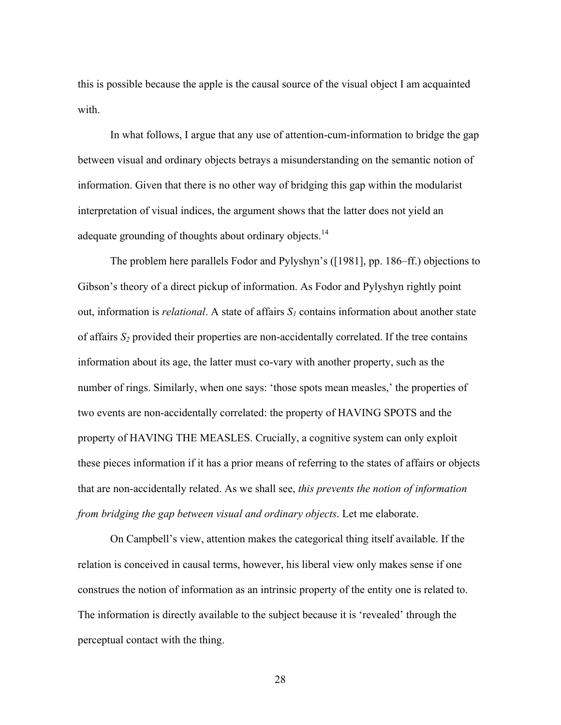this is possible because the apple is the causal source of the visual object I am acquainted with.

In what follows, I argue that any use of attention-cum-information to bridge the gap between visual and ordinary objects betrays a misunderstanding on the semantic notion of information. Given that there is no other way of bridging this gap within the modularist interpretation of visual indices, the argument shows that the latter does not yield an adequate grounding of thoughts about ordinary objects.<sup>14</sup>

The problem here parallels Fodor and Pylyshyn's ([1981], pp. 186–ff.) objections to Gibson's theory of a direct pickup of information. As Fodor and Pylyshyn rightly point out, information is *relational*. A state of affairs  $S_l$  contains information about another state of affairs *S2* provided their properties are non-accidentally correlated. If the tree contains information about its age, the latter must co-vary with another property, such as the number of rings. Similarly, when one says: 'those spots mean measles,' the properties of two events are non-accidentally correlated: the property of HAVING SPOTS and the property of HAVING THE MEASLES. Crucially, a cognitive system can only exploit these pieces information if it has a prior means of referring to the states of affairs or objects that are non-accidentally related. As we shall see, *this prevents the notion of information from bridging the gap between visual and ordinary objects*. Let me elaborate.

On Campbell's view, attention makes the categorical thing itself available. If the relation is conceived in causal terms, however, his liberal view only makes sense if one construes the notion of information as an intrinsic property of the entity one is related to. The information is directly available to the subject because it is 'revealed' through the perceptual contact with the thing.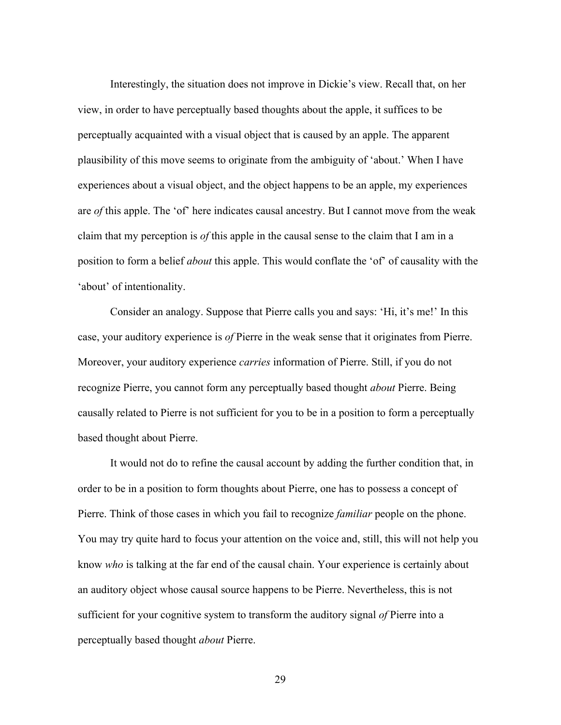Interestingly, the situation does not improve in Dickie's view. Recall that, on her view, in order to have perceptually based thoughts about the apple, it suffices to be perceptually acquainted with a visual object that is caused by an apple. The apparent plausibility of this move seems to originate from the ambiguity of 'about.' When I have experiences about a visual object, and the object happens to be an apple, my experiences are *of* this apple. The 'of' here indicates causal ancestry. But I cannot move from the weak claim that my perception is *of* this apple in the causal sense to the claim that I am in a position to form a belief *about* this apple. This would conflate the 'of' of causality with the 'about' of intentionality.

Consider an analogy. Suppose that Pierre calls you and says: 'Hi, it's me!' In this case, your auditory experience is *of* Pierre in the weak sense that it originates from Pierre. Moreover, your auditory experience *carries* information of Pierre. Still, if you do not recognize Pierre, you cannot form any perceptually based thought *about* Pierre. Being causally related to Pierre is not sufficient for you to be in a position to form a perceptually based thought about Pierre.

It would not do to refine the causal account by adding the further condition that, in order to be in a position to form thoughts about Pierre, one has to possess a concept of Pierre. Think of those cases in which you fail to recognize *familiar* people on the phone. You may try quite hard to focus your attention on the voice and, still, this will not help you know *who* is talking at the far end of the causal chain. Your experience is certainly about an auditory object whose causal source happens to be Pierre. Nevertheless, this is not sufficient for your cognitive system to transform the auditory signal *of* Pierre into a perceptually based thought *about* Pierre.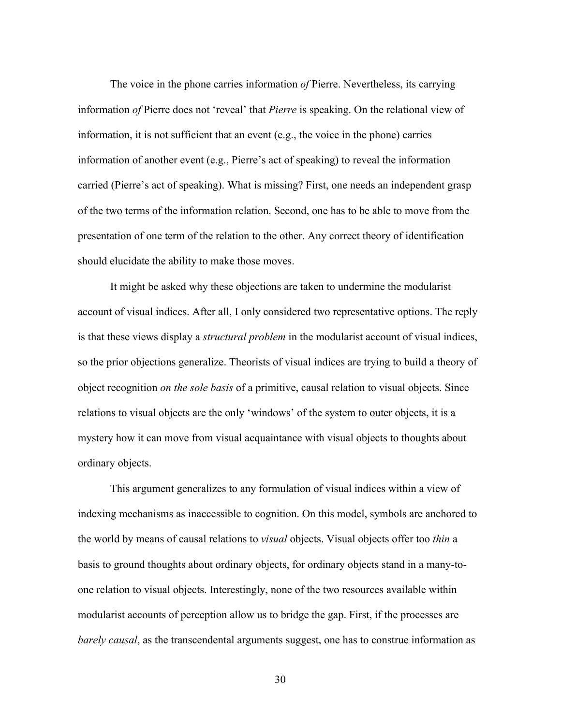The voice in the phone carries information *of* Pierre. Nevertheless, its carrying information *of* Pierre does not 'reveal' that *Pierre* is speaking. On the relational view of information, it is not sufficient that an event (e.g., the voice in the phone) carries information of another event (e.g., Pierre's act of speaking) to reveal the information carried (Pierre's act of speaking). What is missing? First, one needs an independent grasp of the two terms of the information relation. Second, one has to be able to move from the presentation of one term of the relation to the other. Any correct theory of identification should elucidate the ability to make those moves.

It might be asked why these objections are taken to undermine the modularist account of visual indices. After all, I only considered two representative options. The reply is that these views display a *structural problem* in the modularist account of visual indices, so the prior objections generalize. Theorists of visual indices are trying to build a theory of object recognition *on the sole basis* of a primitive, causal relation to visual objects. Since relations to visual objects are the only 'windows' of the system to outer objects, it is a mystery how it can move from visual acquaintance with visual objects to thoughts about ordinary objects.

This argument generalizes to any formulation of visual indices within a view of indexing mechanisms as inaccessible to cognition. On this model, symbols are anchored to the world by means of causal relations to *visual* objects. Visual objects offer too *thin* a basis to ground thoughts about ordinary objects, for ordinary objects stand in a many-toone relation to visual objects. Interestingly, none of the two resources available within modularist accounts of perception allow us to bridge the gap. First, if the processes are *barely causal*, as the transcendental arguments suggest, one has to construe information as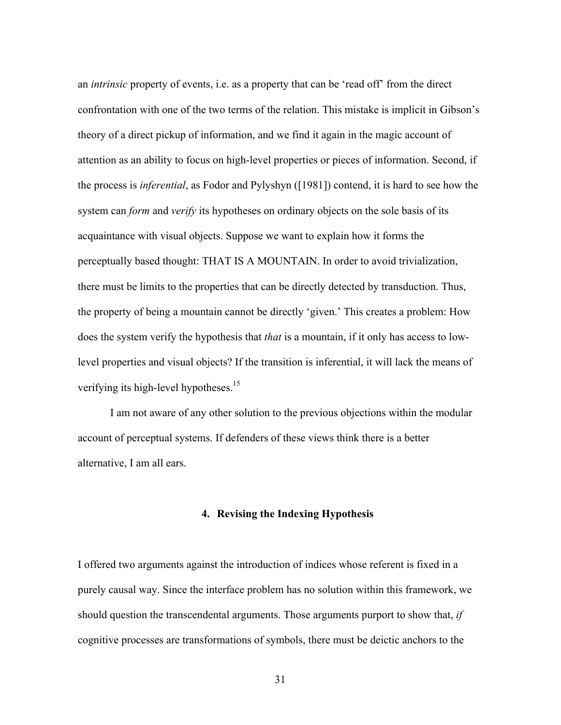an *intrinsic* property of events, i.e. as a property that can be 'read off' from the direct confrontation with one of the two terms of the relation. This mistake is implicit in Gibson's theory of a direct pickup of information, and we find it again in the magic account of attention as an ability to focus on high-level properties or pieces of information. Second, if the process is *inferential*, as Fodor and Pylyshyn ([1981]) contend, it is hard to see how the system can *form* and *verify* its hypotheses on ordinary objects on the sole basis of its acquaintance with visual objects. Suppose we want to explain how it forms the perceptually based thought: THAT IS A MOUNTAIN. In order to avoid trivialization, there must be limits to the properties that can be directly detected by transduction. Thus, the property of being a mountain cannot be directly 'given.' This creates a problem: How does the system verify the hypothesis that *that* is a mountain, if it only has access to lowlevel properties and visual objects? If the transition is inferential, it will lack the means of verifying its high-level hypotheses.<sup>15</sup>

I am not aware of any other solution to the previous objections within the modular account of perceptual systems. If defenders of these views think there is a better alternative, I am all ears.

## **4. Revising the Indexing Hypothesis**

I offered two arguments against the introduction of indices whose referent is fixed in a purely causal way. Since the interface problem has no solution within this framework, we should question the transcendental arguments. Those arguments purport to show that, *if* cognitive processes are transformations of symbols, there must be deictic anchors to the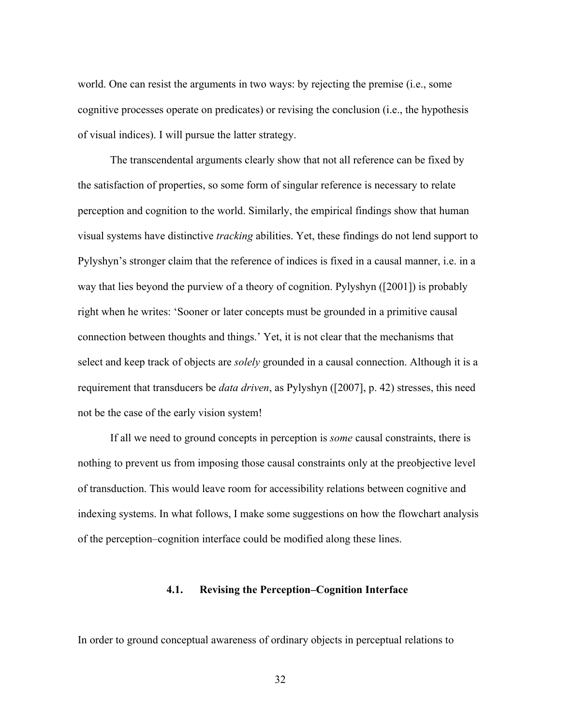world. One can resist the arguments in two ways: by rejecting the premise (i.e., some cognitive processes operate on predicates) or revising the conclusion (i.e., the hypothesis of visual indices). I will pursue the latter strategy.

The transcendental arguments clearly show that not all reference can be fixed by the satisfaction of properties, so some form of singular reference is necessary to relate perception and cognition to the world. Similarly, the empirical findings show that human visual systems have distinctive *tracking* abilities. Yet, these findings do not lend support to Pylyshyn's stronger claim that the reference of indices is fixed in a causal manner, i.e. in a way that lies beyond the purview of a theory of cognition. Pylyshyn ([2001]) is probably right when he writes: 'Sooner or later concepts must be grounded in a primitive causal connection between thoughts and things.' Yet, it is not clear that the mechanisms that select and keep track of objects are *solely* grounded in a causal connection. Although it is a requirement that transducers be *data driven*, as Pylyshyn ([2007], p. 42) stresses, this need not be the case of the early vision system!

If all we need to ground concepts in perception is *some* causal constraints, there is nothing to prevent us from imposing those causal constraints only at the preobjective level of transduction. This would leave room for accessibility relations between cognitive and indexing systems. In what follows, I make some suggestions on how the flowchart analysis of the perception–cognition interface could be modified along these lines.

## **4.1. Revising the Perception–Cognition Interface**

In order to ground conceptual awareness of ordinary objects in perceptual relations to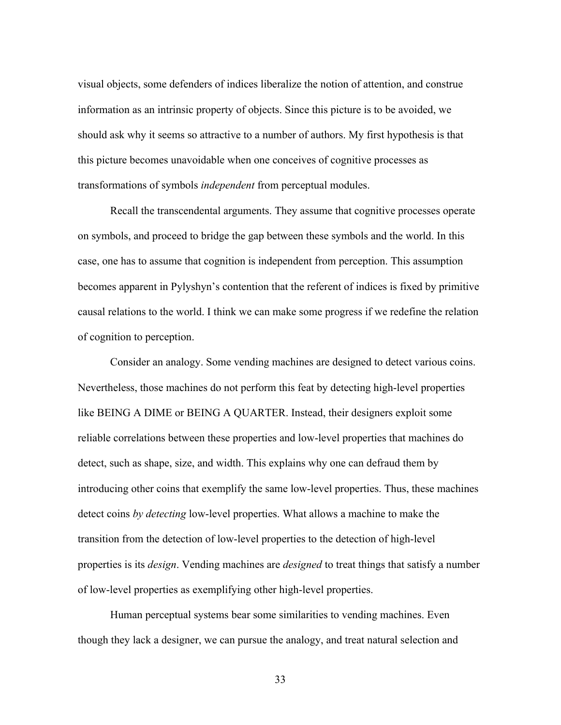visual objects, some defenders of indices liberalize the notion of attention, and construe information as an intrinsic property of objects. Since this picture is to be avoided, we should ask why it seems so attractive to a number of authors. My first hypothesis is that this picture becomes unavoidable when one conceives of cognitive processes as transformations of symbols *independent* from perceptual modules.

Recall the transcendental arguments. They assume that cognitive processes operate on symbols, and proceed to bridge the gap between these symbols and the world. In this case, one has to assume that cognition is independent from perception. This assumption becomes apparent in Pylyshyn's contention that the referent of indices is fixed by primitive causal relations to the world. I think we can make some progress if we redefine the relation of cognition to perception.

Consider an analogy. Some vending machines are designed to detect various coins. Nevertheless, those machines do not perform this feat by detecting high-level properties like BEING A DIME or BEING A QUARTER. Instead, their designers exploit some reliable correlations between these properties and low-level properties that machines do detect, such as shape, size, and width. This explains why one can defraud them by introducing other coins that exemplify the same low-level properties. Thus, these machines detect coins *by detecting* low-level properties. What allows a machine to make the transition from the detection of low-level properties to the detection of high-level properties is its *design*. Vending machines are *designed* to treat things that satisfy a number of low-level properties as exemplifying other high-level properties.

Human perceptual systems bear some similarities to vending machines. Even though they lack a designer, we can pursue the analogy, and treat natural selection and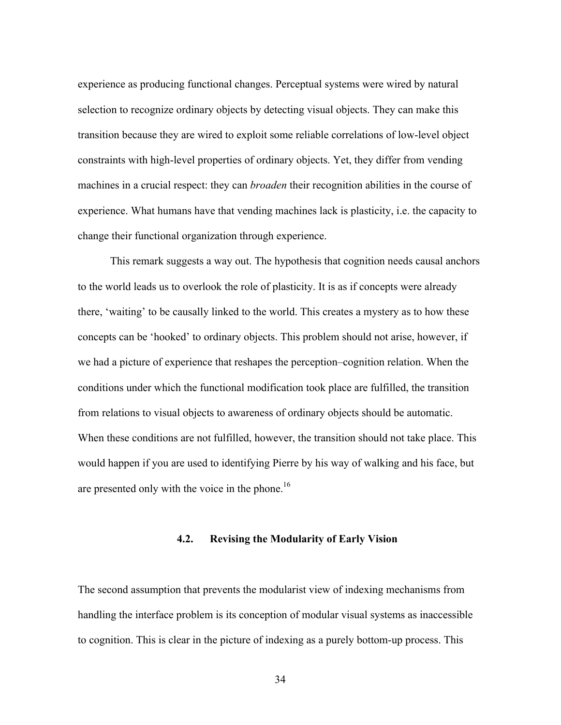experience as producing functional changes. Perceptual systems were wired by natural selection to recognize ordinary objects by detecting visual objects. They can make this transition because they are wired to exploit some reliable correlations of low-level object constraints with high-level properties of ordinary objects. Yet, they differ from vending machines in a crucial respect: they can *broaden* their recognition abilities in the course of experience. What humans have that vending machines lack is plasticity, i.e. the capacity to change their functional organization through experience.

This remark suggests a way out. The hypothesis that cognition needs causal anchors to the world leads us to overlook the role of plasticity. It is as if concepts were already there, 'waiting' to be causally linked to the world. This creates a mystery as to how these concepts can be 'hooked' to ordinary objects. This problem should not arise, however, if we had a picture of experience that reshapes the perception–cognition relation. When the conditions under which the functional modification took place are fulfilled, the transition from relations to visual objects to awareness of ordinary objects should be automatic. When these conditions are not fulfilled, however, the transition should not take place. This would happen if you are used to identifying Pierre by his way of walking and his face, but are presented only with the voice in the phone.<sup>16</sup>

## **4.2. Revising the Modularity of Early Vision**

The second assumption that prevents the modularist view of indexing mechanisms from handling the interface problem is its conception of modular visual systems as inaccessible to cognition. This is clear in the picture of indexing as a purely bottom-up process. This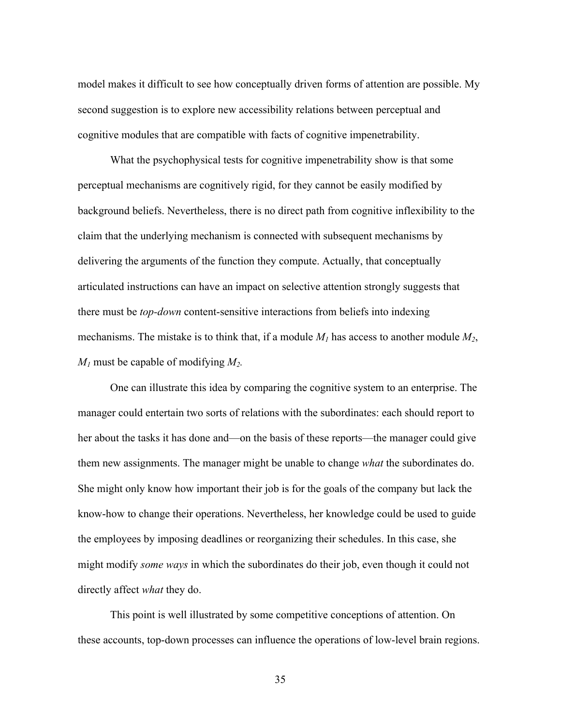model makes it difficult to see how conceptually driven forms of attention are possible. My second suggestion is to explore new accessibility relations between perceptual and cognitive modules that are compatible with facts of cognitive impenetrability.

What the psychophysical tests for cognitive impenetrability show is that some perceptual mechanisms are cognitively rigid, for they cannot be easily modified by background beliefs. Nevertheless, there is no direct path from cognitive inflexibility to the claim that the underlying mechanism is connected with subsequent mechanisms by delivering the arguments of the function they compute. Actually, that conceptually articulated instructions can have an impact on selective attention strongly suggests that there must be *top-down* content-sensitive interactions from beliefs into indexing mechanisms. The mistake is to think that, if a module  $M_1$  has access to another module  $M_2$ , *M1* must be capable of modifying *M2.*

One can illustrate this idea by comparing the cognitive system to an enterprise. The manager could entertain two sorts of relations with the subordinates: each should report to her about the tasks it has done and—on the basis of these reports—the manager could give them new assignments. The manager might be unable to change *what* the subordinates do. She might only know how important their job is for the goals of the company but lack the know-how to change their operations. Nevertheless, her knowledge could be used to guide the employees by imposing deadlines or reorganizing their schedules. In this case, she might modify *some ways* in which the subordinates do their job, even though it could not directly affect *what* they do.

This point is well illustrated by some competitive conceptions of attention. On these accounts, top-down processes can influence the operations of low-level brain regions.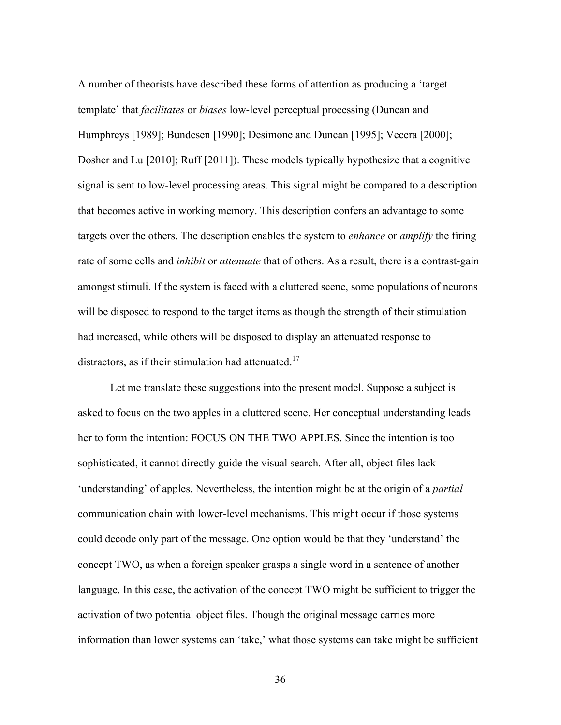A number of theorists have described these forms of attention as producing a 'target template' that *facilitates* or *biases* low-level perceptual processing (Duncan and Humphreys [1989]; Bundesen [1990]; Desimone and Duncan [1995]; Vecera [2000]; Dosher and Lu [2010]; Ruff [2011]). These models typically hypothesize that a cognitive signal is sent to low-level processing areas. This signal might be compared to a description that becomes active in working memory. This description confers an advantage to some targets over the others. The description enables the system to *enhance* or *amplify* the firing rate of some cells and *inhibit* or *attenuate* that of others. As a result, there is a contrast-gain amongst stimuli. If the system is faced with a cluttered scene, some populations of neurons will be disposed to respond to the target items as though the strength of their stimulation had increased, while others will be disposed to display an attenuated response to distractors, as if their stimulation had attenuated.<sup>17</sup>

Let me translate these suggestions into the present model. Suppose a subject is asked to focus on the two apples in a cluttered scene. Her conceptual understanding leads her to form the intention: FOCUS ON THE TWO APPLES. Since the intention is too sophisticated, it cannot directly guide the visual search. After all, object files lack 'understanding' of apples. Nevertheless, the intention might be at the origin of a *partial* communication chain with lower-level mechanisms. This might occur if those systems could decode only part of the message. One option would be that they 'understand' the concept TWO, as when a foreign speaker grasps a single word in a sentence of another language. In this case, the activation of the concept TWO might be sufficient to trigger the activation of two potential object files. Though the original message carries more information than lower systems can 'take,' what those systems can take might be sufficient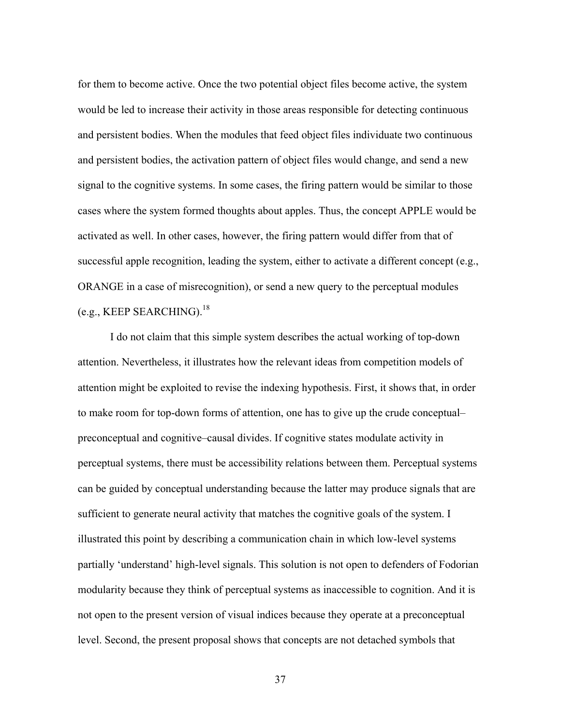for them to become active. Once the two potential object files become active, the system would be led to increase their activity in those areas responsible for detecting continuous and persistent bodies. When the modules that feed object files individuate two continuous and persistent bodies, the activation pattern of object files would change, and send a new signal to the cognitive systems. In some cases, the firing pattern would be similar to those cases where the system formed thoughts about apples. Thus, the concept APPLE would be activated as well. In other cases, however, the firing pattern would differ from that of successful apple recognition, leading the system, either to activate a different concept (e.g., ORANGE in a case of misrecognition), or send a new query to the perceptual modules (e.g., KEEP SEARCHING). $^{18}$ 

I do not claim that this simple system describes the actual working of top-down attention. Nevertheless, it illustrates how the relevant ideas from competition models of attention might be exploited to revise the indexing hypothesis. First, it shows that, in order to make room for top-down forms of attention, one has to give up the crude conceptual– preconceptual and cognitive–causal divides. If cognitive states modulate activity in perceptual systems, there must be accessibility relations between them. Perceptual systems can be guided by conceptual understanding because the latter may produce signals that are sufficient to generate neural activity that matches the cognitive goals of the system. I illustrated this point by describing a communication chain in which low-level systems partially 'understand' high-level signals. This solution is not open to defenders of Fodorian modularity because they think of perceptual systems as inaccessible to cognition. And it is not open to the present version of visual indices because they operate at a preconceptual level. Second, the present proposal shows that concepts are not detached symbols that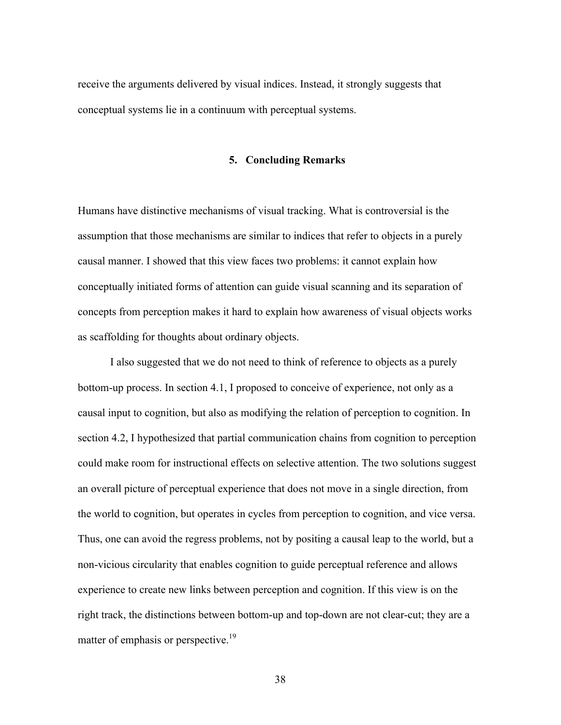receive the arguments delivered by visual indices. Instead, it strongly suggests that conceptual systems lie in a continuum with perceptual systems.

#### **5. Concluding Remarks**

Humans have distinctive mechanisms of visual tracking. What is controversial is the assumption that those mechanisms are similar to indices that refer to objects in a purely causal manner. I showed that this view faces two problems: it cannot explain how conceptually initiated forms of attention can guide visual scanning and its separation of concepts from perception makes it hard to explain how awareness of visual objects works as scaffolding for thoughts about ordinary objects.

I also suggested that we do not need to think of reference to objects as a purely bottom-up process. In section 4.1, I proposed to conceive of experience, not only as a causal input to cognition, but also as modifying the relation of perception to cognition. In section 4.2, I hypothesized that partial communication chains from cognition to perception could make room for instructional effects on selective attention. The two solutions suggest an overall picture of perceptual experience that does not move in a single direction, from the world to cognition, but operates in cycles from perception to cognition, and vice versa. Thus, one can avoid the regress problems, not by positing a causal leap to the world, but a non-vicious circularity that enables cognition to guide perceptual reference and allows experience to create new links between perception and cognition. If this view is on the right track, the distinctions between bottom-up and top-down are not clear-cut; they are a matter of emphasis or perspective.<sup>19</sup>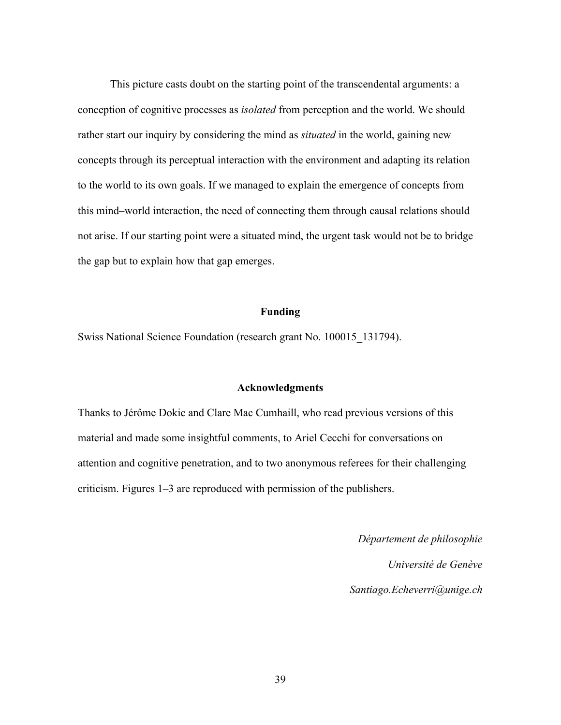This picture casts doubt on the starting point of the transcendental arguments: a conception of cognitive processes as *isolated* from perception and the world. We should rather start our inquiry by considering the mind as *situated* in the world, gaining new concepts through its perceptual interaction with the environment and adapting its relation to the world to its own goals. If we managed to explain the emergence of concepts from this mind–world interaction, the need of connecting them through causal relations should not arise. If our starting point were a situated mind, the urgent task would not be to bridge the gap but to explain how that gap emerges.

#### **Funding**

Swiss National Science Foundation (research grant No. 100015\_131794).

## **Acknowledgments**

Thanks to Jérôme Dokic and Clare Mac Cumhaill, who read previous versions of this material and made some insightful comments, to Ariel Cecchi for conversations on attention and cognitive penetration, and to two anonymous referees for their challenging criticism. Figures 1–3 are reproduced with permission of the publishers.

> *Département de philosophie Université de Genève Santiago.Echeverri@unige.ch*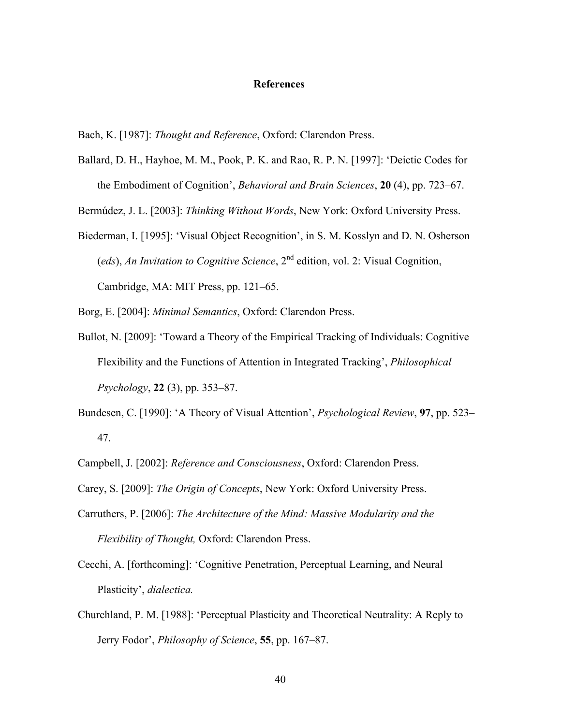#### **References**

- Bach, K. [1987]: *Thought and Reference*, Oxford: Clarendon Press.
- Ballard, D. H., Hayhoe, M. M., Pook, P. K. and Rao, R. P. N. [1997]: 'Deictic Codes for the Embodiment of Cognition', *Behavioral and Brain Sciences*, **20** (4), pp. 723–67.
- Bermúdez, J. L. [2003]: *Thinking Without Words*, New York: Oxford University Press.
- Biederman, I. [1995]: 'Visual Object Recognition', in S. M. Kosslyn and D. N. Osherson (*eds*), *An Invitation to Cognitive Science*, 2nd edition, vol. 2: Visual Cognition, Cambridge, MA: MIT Press, pp. 121–65.
- Borg, E. [2004]: *Minimal Semantics*, Oxford: Clarendon Press.
- Bullot, N. [2009]: 'Toward a Theory of the Empirical Tracking of Individuals: Cognitive Flexibility and the Functions of Attention in Integrated Tracking', *Philosophical Psychology*, **22** (3), pp. 353–87.
- Bundesen, C. [1990]: 'A Theory of Visual Attention', *Psychological Review*, **97**, pp. 523– 47.
- Campbell, J. [2002]: *Reference and Consciousness*, Oxford: Clarendon Press.
- Carey, S. [2009]: *The Origin of Concepts*, New York: Oxford University Press.
- Carruthers, P. [2006]: *The Architecture of the Mind: Massive Modularity and the Flexibility of Thought,* Oxford: Clarendon Press.
- Cecchi, A. [forthcoming]: 'Cognitive Penetration, Perceptual Learning, and Neural Plasticity', *dialectica.*
- Churchland, P. M. [1988]: 'Perceptual Plasticity and Theoretical Neutrality: A Reply to Jerry Fodor', *Philosophy of Science*, **55**, pp. 167–87.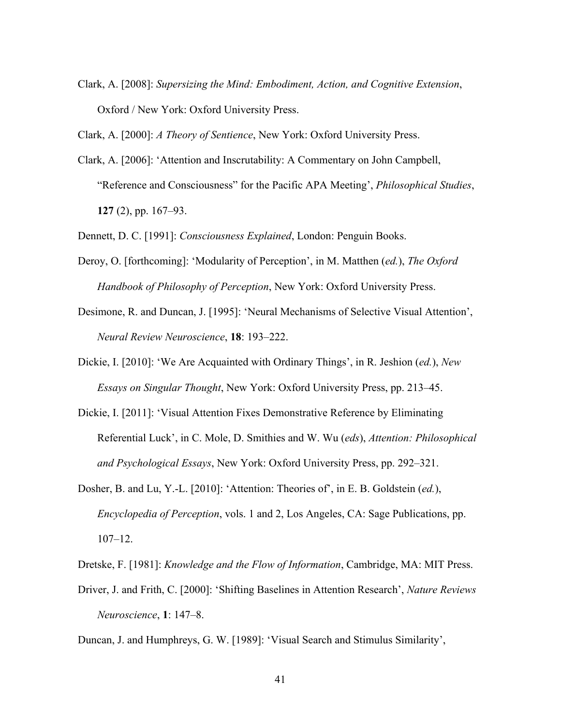- Clark, A. [2008]: *Supersizing the Mind: Embodiment, Action, and Cognitive Extension*, Oxford / New York: Oxford University Press.
- Clark, A. [2000]: *A Theory of Sentience*, New York: Oxford University Press.
- Clark, A. [2006]: 'Attention and Inscrutability: A Commentary on John Campbell, "Reference and Consciousness" for the Pacific APA Meeting', *Philosophical Studies*, **127** (2), pp. 167–93.
- Dennett, D. C. [1991]: *Consciousness Explained*, London: Penguin Books.
- Deroy, O. [forthcoming]: 'Modularity of Perception', in M. Matthen (*ed.*), *The Oxford Handbook of Philosophy of Perception*, New York: Oxford University Press.
- Desimone, R. and Duncan, J. [1995]: 'Neural Mechanisms of Selective Visual Attention', *Neural Review Neuroscience*, **18**: 193–222.
- Dickie, I. [2010]: 'We Are Acquainted with Ordinary Things', in R. Jeshion (*ed.*), *New Essays on Singular Thought*, New York: Oxford University Press, pp. 213–45.
- Dickie, I. [2011]: 'Visual Attention Fixes Demonstrative Reference by Eliminating Referential Luck', in C. Mole, D. Smithies and W. Wu (*eds*), *Attention: Philosophical and Psychological Essays*, New York: Oxford University Press, pp. 292–321.
- Dosher, B. and Lu, Y.-L. [2010]: 'Attention: Theories of', in E. B. Goldstein (*ed.*), *Encyclopedia of Perception*, vols. 1 and 2, Los Angeles, CA: Sage Publications, pp. 107–12.
- Dretske, F. [1981]: *Knowledge and the Flow of Information*, Cambridge, MA: MIT Press.
- Driver, J. and Frith, C. [2000]: 'Shifting Baselines in Attention Research', *Nature Reviews Neuroscience*, **1**: 147–8.

Duncan, J. and Humphreys, G. W. [1989]: 'Visual Search and Stimulus Similarity',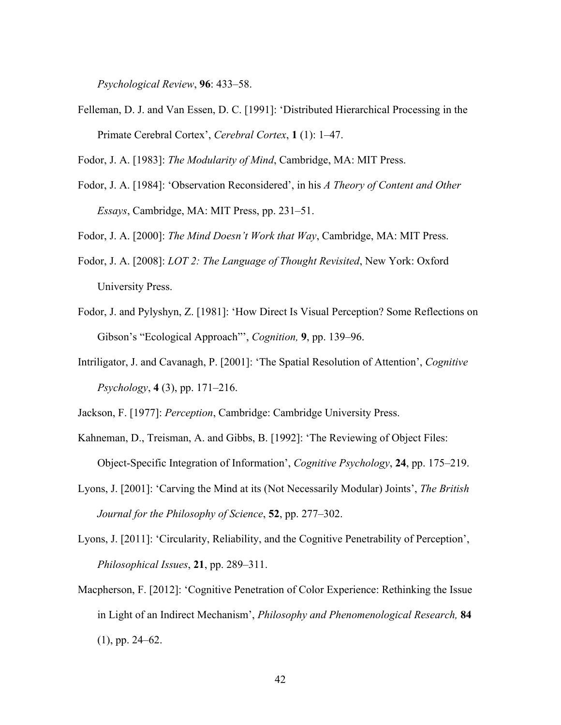*Psychological Review*, **96**: 433–58.

Felleman, D. J. and Van Essen, D. C. [1991]: 'Distributed Hierarchical Processing in the Primate Cerebral Cortex', *Cerebral Cortex*, **1** (1): 1–47.

Fodor, J. A. [1983]: *The Modularity of Mind*, Cambridge, MA: MIT Press.

- Fodor, J. A. [1984]: 'Observation Reconsidered', in his *A Theory of Content and Other Essays*, Cambridge, MA: MIT Press, pp. 231–51.
- Fodor, J. A. [2000]: *The Mind Doesn't Work that Way*, Cambridge, MA: MIT Press.
- Fodor, J. A. [2008]: *LOT 2: The Language of Thought Revisited*, New York: Oxford University Press.
- Fodor, J. and Pylyshyn, Z. [1981]: 'How Direct Is Visual Perception? Some Reflections on Gibson's "Ecological Approach"', *Cognition,* **9**, pp. 139–96.
- Intriligator, J. and Cavanagh, P. [2001]: 'The Spatial Resolution of Attention', *Cognitive Psychology*, **4** (3), pp. 171–216.
- Jackson, F. [1977]: *Perception*, Cambridge: Cambridge University Press.
- Kahneman, D., Treisman, A. and Gibbs, B. [1992]: 'The Reviewing of Object Files: Object-Specific Integration of Information', *Cognitive Psychology*, **24**, pp. 175–219.
- Lyons, J. [2001]: 'Carving the Mind at its (Not Necessarily Modular) Joints', *The British Journal for the Philosophy of Science*, **52**, pp. 277–302.
- Lyons, J. [2011]: 'Circularity, Reliability, and the Cognitive Penetrability of Perception', *Philosophical Issues*, **21**, pp. 289–311.
- Macpherson, F. [2012]: 'Cognitive Penetration of Color Experience: Rethinking the Issue in Light of an Indirect Mechanism', *Philosophy and Phenomenological Research,* **84** (1), pp. 24–62.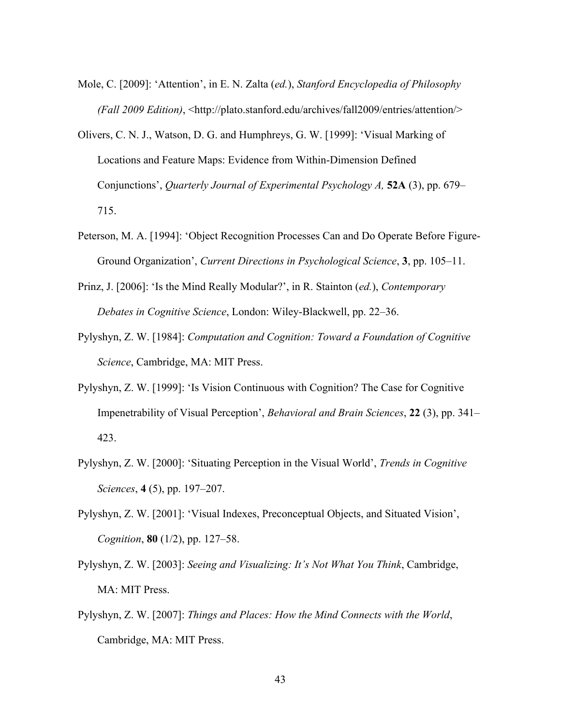- Mole, C. [2009]: 'Attention', in E. N. Zalta (*ed.*), *Stanford Encyclopedia of Philosophy (Fall 2009 Edition)*, <http://plato.stanford.edu/archives/fall2009/entries/attention/>
- Olivers, C. N. J., Watson, D. G. and Humphreys, G. W. [1999]: 'Visual Marking of Locations and Feature Maps: Evidence from Within-Dimension Defined Conjunctions', *Quarterly Journal of Experimental Psychology A,* **52A** (3), pp. 679– 715.
- Peterson, M. A. [1994]: 'Object Recognition Processes Can and Do Operate Before Figure-Ground Organization', *Current Directions in Psychological Science*, **3**, pp. 105–11.
- Prinz, J. [2006]: 'Is the Mind Really Modular?', in R. Stainton (*ed.*), *Contemporary Debates in Cognitive Science*, London: Wiley-Blackwell, pp. 22–36.
- Pylyshyn, Z. W. [1984]: *Computation and Cognition: Toward a Foundation of Cognitive Science*, Cambridge, MA: MIT Press.
- Pylyshyn, Z. W. [1999]: 'Is Vision Continuous with Cognition? The Case for Cognitive Impenetrability of Visual Perception', *Behavioral and Brain Sciences*, **22** (3), pp. 341– 423.
- Pylyshyn, Z. W. [2000]: 'Situating Perception in the Visual World', *Trends in Cognitive Sciences*, **4** (5), pp. 197–207.
- Pylyshyn, Z. W. [2001]: 'Visual Indexes, Preconceptual Objects, and Situated Vision', *Cognition*, **80** (1/2), pp. 127–58.
- Pylyshyn, Z. W. [2003]: *Seeing and Visualizing: It's Not What You Think*, Cambridge, MA: MIT Press.
- Pylyshyn, Z. W. [2007]: *Things and Places: How the Mind Connects with the World*, Cambridge, MA: MIT Press.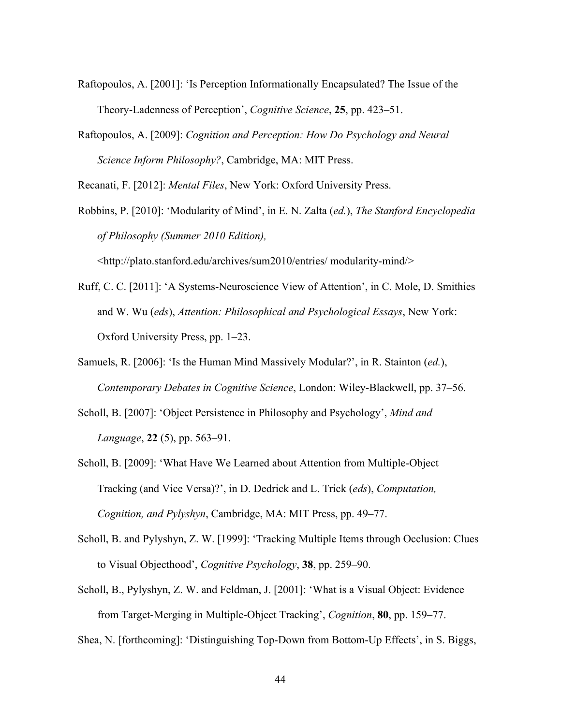- Raftopoulos, A. [2001]: 'Is Perception Informationally Encapsulated? The Issue of the Theory-Ladenness of Perception', *Cognitive Science*, **25**, pp. 423–51.
- Raftopoulos, A. [2009]: *Cognition and Perception: How Do Psychology and Neural Science Inform Philosophy?*, Cambridge, MA: MIT Press.

Recanati, F. [2012]: *Mental Files*, New York: Oxford University Press.

Robbins, P. [2010]: 'Modularity of Mind', in E. N. Zalta (*ed.*), *The Stanford Encyclopedia of Philosophy (Summer 2010 Edition),*

<http://plato.stanford.edu/archives/sum2010/entries/ modularity-mind/>

- Ruff, C. C. [2011]: 'A Systems-Neuroscience View of Attention', in C. Mole, D. Smithies and W. Wu (*eds*), *Attention: Philosophical and Psychological Essays*, New York: Oxford University Press, pp. 1–23.
- Samuels, R. [2006]: 'Is the Human Mind Massively Modular?', in R. Stainton (*ed.*), *Contemporary Debates in Cognitive Science*, London: Wiley-Blackwell, pp. 37–56.
- Scholl, B. [2007]: 'Object Persistence in Philosophy and Psychology', *Mind and Language*, **22** (5), pp. 563–91.
- Scholl, B. [2009]: 'What Have We Learned about Attention from Multiple-Object Tracking (and Vice Versa)?', in D. Dedrick and L. Trick (*eds*), *Computation, Cognition, and Pylyshyn*, Cambridge, MA: MIT Press, pp. 49–77.
- Scholl, B. and Pylyshyn, Z. W. [1999]: 'Tracking Multiple Items through Occlusion: Clues to Visual Objecthood', *Cognitive Psychology*, **38**, pp. 259–90.
- Scholl, B., Pylyshyn, Z. W. and Feldman, J. [2001]: 'What is a Visual Object: Evidence from Target-Merging in Multiple-Object Tracking', *Cognition*, **80**, pp. 159–77.
- Shea, N. [forthcoming]: 'Distinguishing Top-Down from Bottom-Up Effects', in S. Biggs,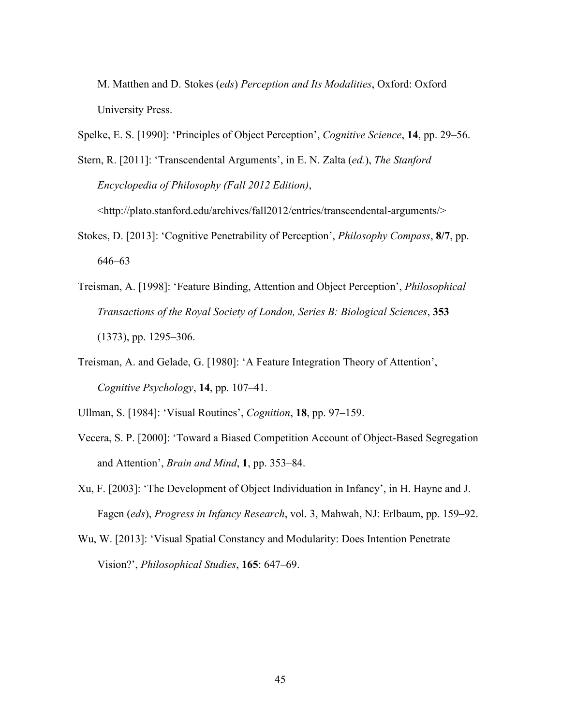M. Matthen and D. Stokes (*eds*) *Perception and Its Modalities*, Oxford: Oxford University Press.

Spelke, E. S. [1990]: 'Principles of Object Perception', *Cognitive Science*, **14**, pp. 29–56.

Stern, R. [2011]: 'Transcendental Arguments', in E. N. Zalta (*ed.*), *The Stanford Encyclopedia of Philosophy (Fall 2012 Edition)*,

<http://plato.stanford.edu/archives/fall2012/entries/transcendental-arguments/>

- Stokes, D. [2013]: 'Cognitive Penetrability of Perception', *Philosophy Compass*, **8/7**, pp. 646–63
- Treisman, A. [1998]: 'Feature Binding, Attention and Object Perception', *Philosophical Transactions of the Royal Society of London, Series B: Biological Sciences*, **353** (1373), pp. 1295–306.
- Treisman, A. and Gelade, G. [1980]: 'A Feature Integration Theory of Attention', *Cognitive Psychology*, **14**, pp. 107–41.

Ullman, S. [1984]: 'Visual Routines', *Cognition*, **18**, pp. 97–159.

- Vecera, S. P. [2000]: 'Toward a Biased Competition Account of Object-Based Segregation and Attention', *Brain and Mind*, **1**, pp. 353–84.
- Xu, F. [2003]: 'The Development of Object Individuation in Infancy', in H. Hayne and J. Fagen (*eds*), *Progress in Infancy Research*, vol. 3, Mahwah, NJ: Erlbaum, pp. 159–92.
- Wu, W. [2013]: 'Visual Spatial Constancy and Modularity: Does Intention Penetrate Vision?', *Philosophical Studies*, **165**: 647–69.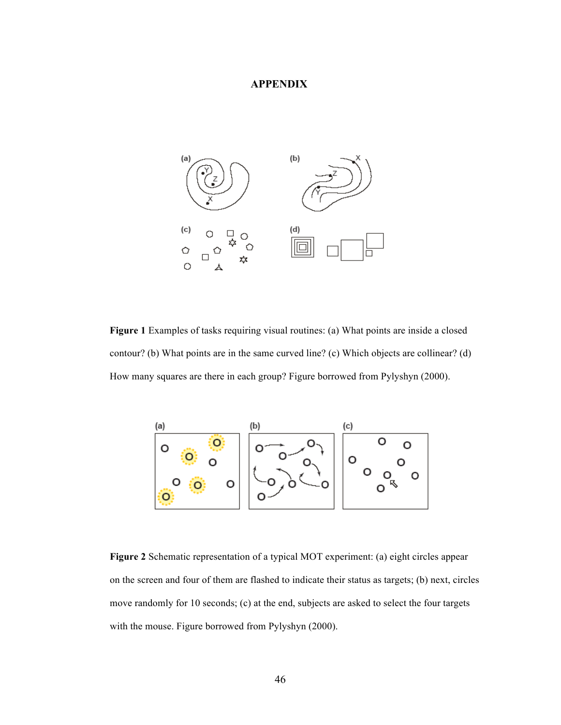#### **APPENDIX**



**Figure 1** Examples of tasks requiring visual routines: (a) What points are inside a closed contour? (b) What points are in the same curved line? (c) Which objects are collinear? (d) How many squares are there in each group? Figure borrowed from Pylyshyn (2000).



**Figure 2** Schematic representation of a typical MOT experiment: (a) eight circles appear on the screen and four of them are flashed to indicate their status as targets; (b) next, circles move randomly for 10 seconds; (c) at the end, subjects are asked to select the four targets with the mouse. Figure borrowed from Pylyshyn (2000).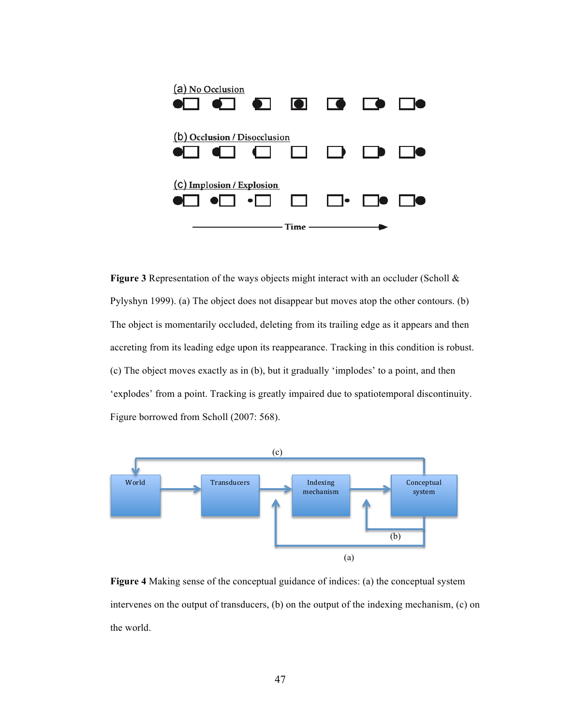

Figure 3 Representation of the ways objects might interact with an occluder (Scholl & Pylyshyn 1999). (a) The object does not disappear but moves atop the other contours. (b) The object is momentarily occluded, deleting from its trailing edge as it appears and then accreting from its leading edge upon its reappearance. Tracking in this condition is robust. (c) The object moves exactly as in (b), but it gradually 'implodes' to a point, and then 'explodes' from a point. Tracking is greatly impaired due to spatiotemporal discontinuity. Figure borrowed from Scholl (2007: 568).



**Figure 4** Making sense of the conceptual guidance of indices: (a) the conceptual system intervenes on the output of transducers, (b) on the output of the indexing mechanism, (c) on the world.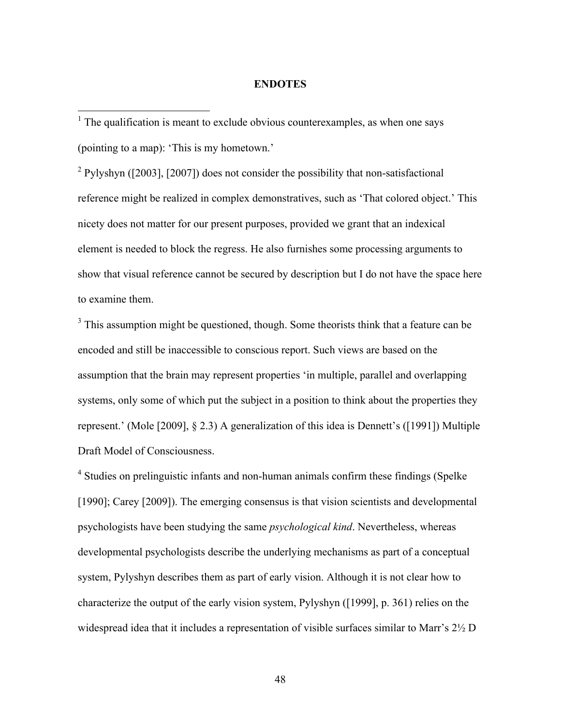#### **ENDOTES**

 $2$  Pylyshyn ([2003], [2007]) does not consider the possibility that non-satisfactional reference might be realized in complex demonstratives, such as 'That colored object.' This nicety does not matter for our present purposes, provided we grant that an indexical element is needed to block the regress. He also furnishes some processing arguments to show that visual reference cannot be secured by description but I do not have the space here to examine them.

 $3$  This assumption might be questioned, though. Some theorists think that a feature can be encoded and still be inaccessible to conscious report. Such views are based on the assumption that the brain may represent properties 'in multiple, parallel and overlapping systems, only some of which put the subject in a position to think about the properties they represent.' (Mole [2009], § 2.3) A generalization of this idea is Dennett's ([1991]) Multiple Draft Model of Consciousness.

<sup>4</sup> Studies on prelinguistic infants and non-human animals confirm these findings (Spelke) [1990]; Carey [2009]). The emerging consensus is that vision scientists and developmental psychologists have been studying the same *psychological kind*. Nevertheless, whereas developmental psychologists describe the underlying mechanisms as part of a conceptual system, Pylyshyn describes them as part of early vision. Although it is not clear how to characterize the output of the early vision system, Pylyshyn ([1999], p. 361) relies on the widespread idea that it includes a representation of visible surfaces similar to Marr's 2½ D

 $<sup>1</sup>$  The qualification is meant to exclude obvious counterexamples, as when one says</sup> (pointing to a map): 'This is my hometown.'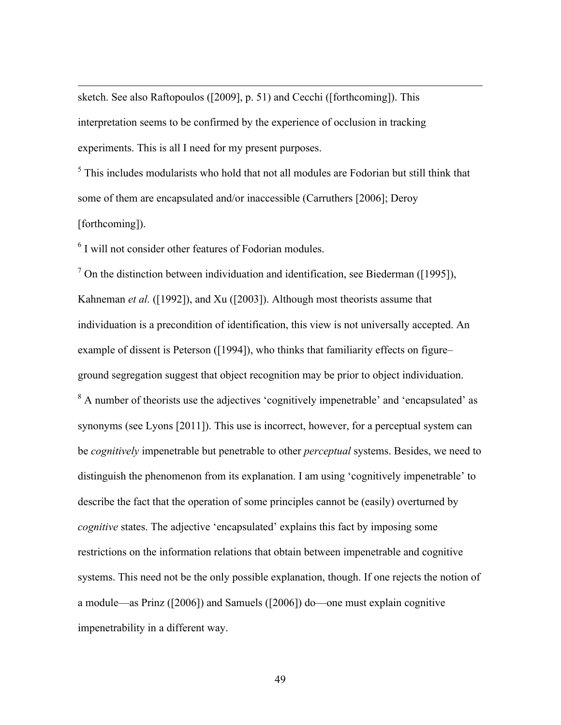sketch. See also Raftopoulos ([2009], p. 51) and Cecchi ([forthcoming]). This interpretation seems to be confirmed by the experience of occlusion in tracking experiments. This is all I need for my present purposes.

 $<sup>5</sup>$  This includes modularists who hold that not all modules are Fodorian but still think that</sup> some of them are encapsulated and/or inaccessible (Carruthers [2006]; Deroy [forthcoming]).

<u> 1989 - Andrea Santa Andrea Andrea Andrea Andrea Andrea Andrea Andrea Andrea Andrea Andrea Andrea Andrea Andr</u>

<sup>6</sup> I will not consider other features of Fodorian modules.

 $<sup>7</sup>$  On the distinction between individuation and identification, see Biederman ([1995]),</sup> Kahneman *et al.* ([1992]), and Xu ([2003]). Although most theorists assume that individuation is a precondition of identification, this view is not universally accepted. An example of dissent is Peterson ([1994]), who thinks that familiarity effects on figure– ground segregation suggest that object recognition may be prior to object individuation. <sup>8</sup> A number of theorists use the adjectives 'cognitively impenetrable' and 'encapsulated' as synonyms (see Lyons [2011]). This use is incorrect, however, for a perceptual system can be *cognitively* impenetrable but penetrable to other *perceptual* systems. Besides, we need to distinguish the phenomenon from its explanation. I am using 'cognitively impenetrable' to describe the fact that the operation of some principles cannot be (easily) overturned by *cognitive* states. The adjective 'encapsulated' explains this fact by imposing some restrictions on the information relations that obtain between impenetrable and cognitive systems. This need not be the only possible explanation, though. If one rejects the notion of a module—as Prinz ([2006]) and Samuels ([2006]) do—one must explain cognitive impenetrability in a different way.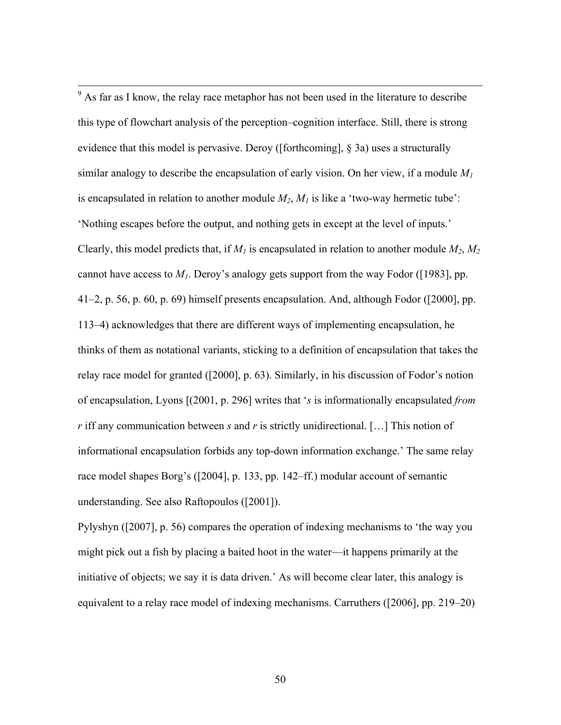<sup>9</sup> As far as I know, the relay race metaphor has not been used in the literature to describe this type of flowchart analysis of the perception–cognition interface. Still, there is strong evidence that this model is pervasive. Deroy ([forthcoming], § 3a) uses a structurally similar analogy to describe the encapsulation of early vision. On her view, if a module *M1* is encapsulated in relation to another module  $M_2$ ,  $M_1$  is like a 'two-way hermetic tube': 'Nothing escapes before the output, and nothing gets in except at the level of inputs.' Clearly, this model predicts that, if  $M_1$  is encapsulated in relation to another module  $M_2, M_2$ cannot have access to  $M_l$ . Deroy's analogy gets support from the way Fodor ([1983], pp. 41–2, p. 56, p. 60, p. 69) himself presents encapsulation. And, although Fodor ([2000], pp. 113–4) acknowledges that there are different ways of implementing encapsulation, he thinks of them as notational variants, sticking to a definition of encapsulation that takes the relay race model for granted ([2000], p. 63). Similarly, in his discussion of Fodor's notion of encapsulation, Lyons [(2001, p. 296] writes that '*s* is informationally encapsulated *from r* iff any communication between *s* and *r* is strictly unidirectional. […] This notion of informational encapsulation forbids any top-down information exchange.' The same relay race model shapes Borg's ([2004], p. 133, pp. 142–ff.) modular account of semantic understanding. See also Raftopoulos ([2001]).

Pylyshyn ([2007], p. 56) compares the operation of indexing mechanisms to 'the way you might pick out a fish by placing a baited hoot in the water—it happens primarily at the initiative of objects; we say it is data driven.' As will become clear later, this analogy is equivalent to a relay race model of indexing mechanisms. Carruthers ([2006], pp. 219–20)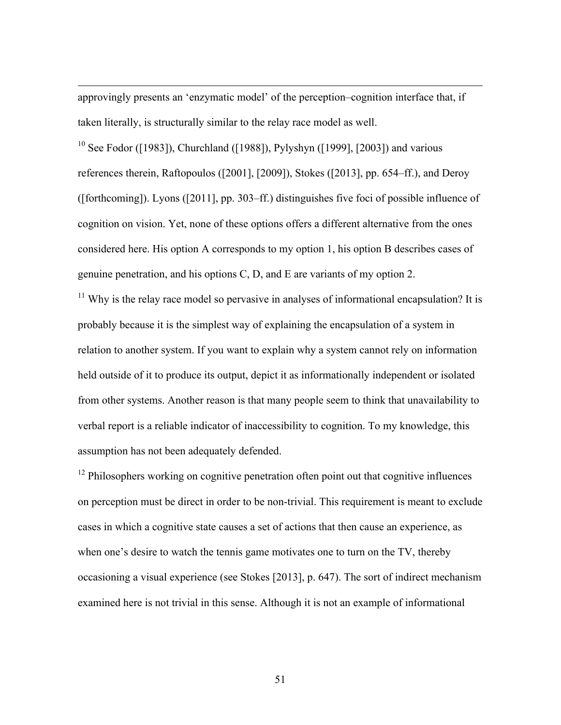approvingly presents an 'enzymatic model' of the perception–cognition interface that, if taken literally, is structurally similar to the relay race model as well.

<u> 1989 - Andrea Santa Andrea Andrea Andrea Andrea Andrea Andrea Andrea Andrea Andrea Andrea Andrea Andrea Andr</u>

<sup>10</sup> See Fodor ([1983]), Churchland ([1988]), Pylyshyn ([1999], [2003]) and various references therein, Raftopoulos ([2001], [2009]), Stokes ([2013], pp. 654–ff.), and Deroy ([forthcoming]). Lyons ([2011], pp. 303–ff.) distinguishes five foci of possible influence of cognition on vision. Yet, none of these options offers a different alternative from the ones considered here. His option A corresponds to my option 1, his option B describes cases of genuine penetration, and his options C, D, and E are variants of my option 2.

 $11$  Why is the relay race model so pervasive in analyses of informational encapsulation? It is probably because it is the simplest way of explaining the encapsulation of a system in relation to another system. If you want to explain why a system cannot rely on information held outside of it to produce its output, depict it as informationally independent or isolated from other systems. Another reason is that many people seem to think that unavailability to verbal report is a reliable indicator of inaccessibility to cognition. To my knowledge, this assumption has not been adequately defended.

 $12$  Philosophers working on cognitive penetration often point out that cognitive influences on perception must be direct in order to be non-trivial. This requirement is meant to exclude cases in which a cognitive state causes a set of actions that then cause an experience, as when one's desire to watch the tennis game motivates one to turn on the TV, thereby occasioning a visual experience (see Stokes [2013], p. 647). The sort of indirect mechanism examined here is not trivial in this sense. Although it is not an example of informational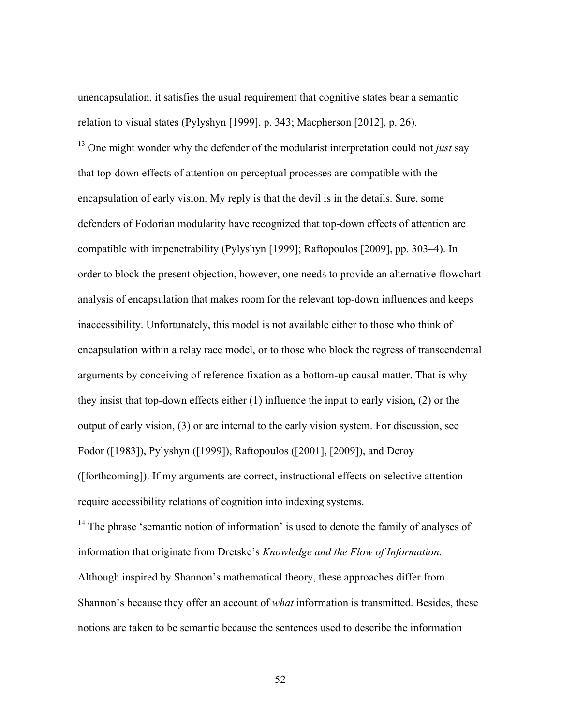unencapsulation, it satisfies the usual requirement that cognitive states bear a semantic relation to visual states (Pylyshyn [1999], p. 343; Macpherson [2012], p. 26). <sup>13</sup> One might wonder why the defender of the modularist interpretation could not *just* say that top-down effects of attention on perceptual processes are compatible with the encapsulation of early vision. My reply is that the devil is in the details. Sure, some defenders of Fodorian modularity have recognized that top-down effects of attention are compatible with impenetrability (Pylyshyn [1999]; Raftopoulos [2009], pp. 303–4). In order to block the present objection, however, one needs to provide an alternative flowchart analysis of encapsulation that makes room for the relevant top-down influences and keeps inaccessibility. Unfortunately, this model is not available either to those who think of encapsulation within a relay race model, or to those who block the regress of transcendental arguments by conceiving of reference fixation as a bottom-up causal matter. That is why they insist that top-down effects either (1) influence the input to early vision, (2) or the output of early vision, (3) or are internal to the early vision system. For discussion, see Fodor ([1983]), Pylyshyn ([1999]), Raftopoulos ([2001], [2009]), and Deroy ([forthcoming]). If my arguments are correct, instructional effects on selective attention require accessibility relations of cognition into indexing systems.

<u> 1989 - Andrea Santa Andrea Andrea Andrea Andrea Andrea Andrea Andrea Andrea Andrea Andrea Andrea Andrea Andr</u>

 $14$  The phrase 'semantic notion of information' is used to denote the family of analyses of information that originate from Dretske's *Knowledge and the Flow of Information.*  Although inspired by Shannon's mathematical theory, these approaches differ from Shannon's because they offer an account of *what* information is transmitted. Besides, these notions are taken to be semantic because the sentences used to describe the information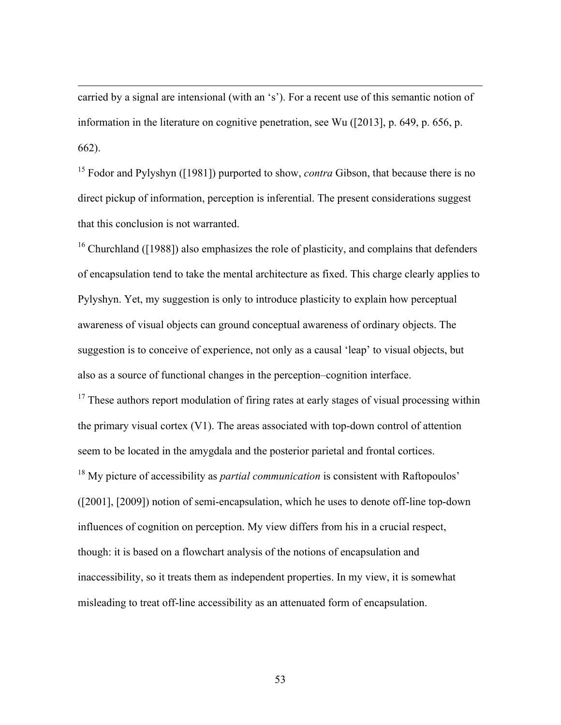carried by a signal are inten*s*ional (with an 's'). For a recent use of this semantic notion of information in the literature on cognitive penetration, see Wu ([2013], p. 649, p. 656, p. 662).

<u> 1989 - Andrea Santa Andrea Andrea Andrea Andrea Andrea Andrea Andrea Andrea Andrea Andrea Andrea Andrea Andr</u>

<sup>15</sup> Fodor and Pylyshyn ([1981]) purported to show, *contra* Gibson, that because there is no direct pickup of information, perception is inferential. The present considerations suggest that this conclusion is not warranted.

 $16$  Churchland ([1988]) also emphasizes the role of plasticity, and complains that defenders of encapsulation tend to take the mental architecture as fixed. This charge clearly applies to Pylyshyn. Yet, my suggestion is only to introduce plasticity to explain how perceptual awareness of visual objects can ground conceptual awareness of ordinary objects. The suggestion is to conceive of experience, not only as a causal 'leap' to visual objects, but also as a source of functional changes in the perception–cognition interface.

 $17$  These authors report modulation of firing rates at early stages of visual processing within the primary visual cortex (V1). The areas associated with top-down control of attention seem to be located in the amygdala and the posterior parietal and frontal cortices.

<sup>18</sup> My picture of accessibility as *partial communication* is consistent with Raftopoulos' ([2001], [2009]) notion of semi-encapsulation, which he uses to denote off-line top-down influences of cognition on perception. My view differs from his in a crucial respect, though: it is based on a flowchart analysis of the notions of encapsulation and inaccessibility, so it treats them as independent properties. In my view, it is somewhat misleading to treat off-line accessibility as an attenuated form of encapsulation.